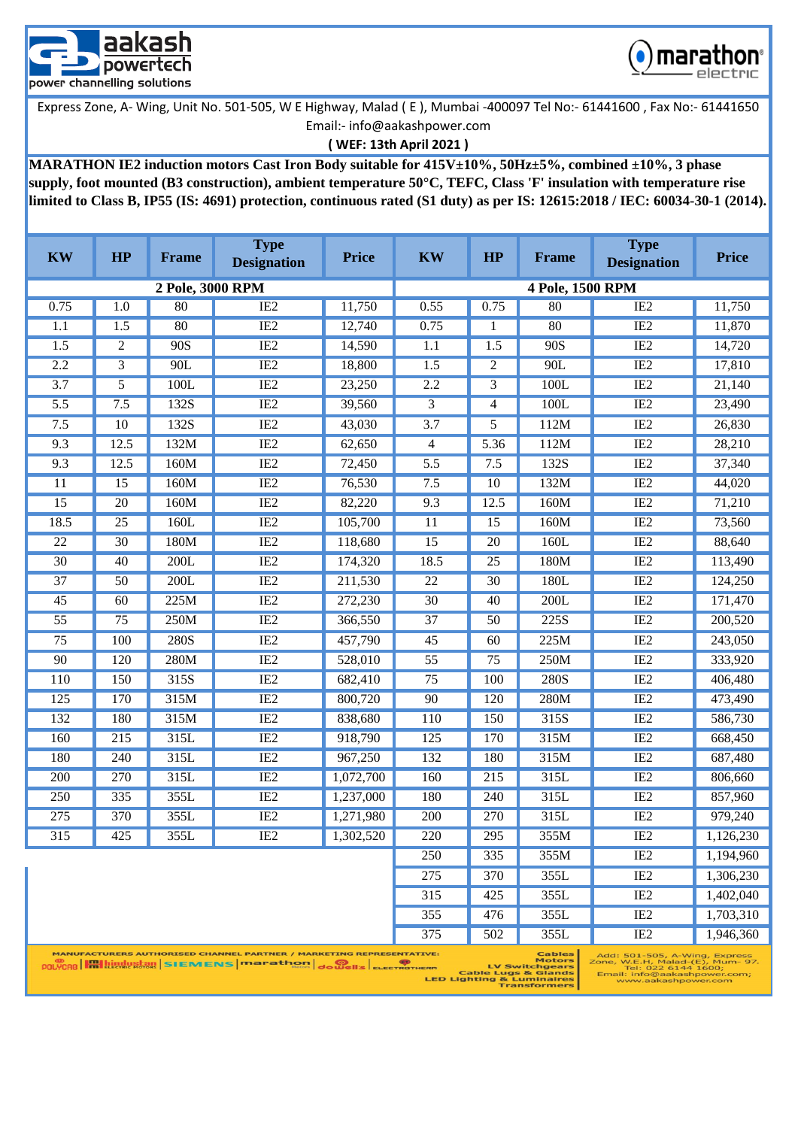



### **( WEF: 13th April 2021 )**

**MARATHON IE2 induction motors Cast Iron Body suitable for 415V±10%, 50Hz±5%, combined ±10%, 3 phase supply, foot mounted (B3 construction), ambient temperature 50°C, TEFC, Class 'F' insulation with temperature rise limited to Class B, IP55 (IS: 4691) protection, continuous rated (S1 duty) as per IS: 12615:2018 / IEC: 60034-30-1 (2014).**

| <b>KW</b>        | HP               | <b>Frame</b>     | <b>Type</b><br><b>Designation</b>                                                                                                                                                                                                                                                                          | <b>Price</b> | <b>KW</b>        | HP               | Frame                          | <b>Type</b><br><b>Designation</b>                               | <b>Price</b> |
|------------------|------------------|------------------|------------------------------------------------------------------------------------------------------------------------------------------------------------------------------------------------------------------------------------------------------------------------------------------------------------|--------------|------------------|------------------|--------------------------------|-----------------------------------------------------------------|--------------|
|                  |                  | 2 Pole, 3000 RPM |                                                                                                                                                                                                                                                                                                            |              |                  |                  | 4 Pole, 1500 RPM               |                                                                 |              |
| 0.75             | 1.0              | 80               | IE2                                                                                                                                                                                                                                                                                                        | 11,750       | 0.55             | 0.75             | 80                             | IE2                                                             | 11,750       |
| 1.1              | 1.5              | 80               | IE2                                                                                                                                                                                                                                                                                                        | 12,740       | 0.75             | 1                | 80                             | IE <sub>2</sub>                                                 | 11,870       |
| $\overline{1.5}$ | $\mathbf{2}$     | 90S              | IE2                                                                                                                                                                                                                                                                                                        | 14,590       | 1.1              | $\overline{1.5}$ | 90S                            | IE2                                                             | 14,720       |
| 2.2              | 3                | 90L              | IE2                                                                                                                                                                                                                                                                                                        | 18,800       | 1.5              | 2                | 90L                            | IE2                                                             | 17,810       |
| $\overline{3.7}$ | 5                | 100L             | IE2                                                                                                                                                                                                                                                                                                        | 23,250       | 2.2              | $\overline{3}$   | 100L                           | IE2                                                             | 21,140       |
| 5.5              | 7.5              | 132S             | IE2                                                                                                                                                                                                                                                                                                        | 39,560       | 3                | 4                | 100L                           | IE <sub>2</sub>                                                 | 23,490       |
| 7.5              | $\overline{10}$  | 132S             | IE2                                                                                                                                                                                                                                                                                                        | 43,030       | $\overline{3.7}$ | 5                | 112M                           | IE2                                                             | 26,830       |
| 9.3              | 12.5             | 132M             | IE2                                                                                                                                                                                                                                                                                                        | 62,650       | $\overline{4}$   | 5.36             | 112M                           | IE2                                                             | 28,210       |
| 9.3              | 12.5             | 160M             | IE2                                                                                                                                                                                                                                                                                                        | 72,450       | $\overline{5.5}$ | 7.5              | 132S                           | IE2                                                             | 37,340       |
| 11               | 15               | 160M             | IE2                                                                                                                                                                                                                                                                                                        | 76,530       | 7.5              | 10               | 132M                           | IE2                                                             | 44,020       |
| 15               | $20\,$           | 160M             | IE <sub>2</sub>                                                                                                                                                                                                                                                                                            | 82,220       | 9.3              | 12.5             | 160M                           | IE <sub>2</sub>                                                 | 71,210       |
| 18.5             | $\overline{25}$  | 160L             | IE2                                                                                                                                                                                                                                                                                                        | 105,700      | 11               | 15               | 160M                           | IE2                                                             | 73,560       |
| 22               | 30               | 180M             | IE2                                                                                                                                                                                                                                                                                                        | 118,680      | 15               | 20               | 160L                           | IE2                                                             | 88,640       |
| $\overline{30}$  | 40               | 200L             | IE2                                                                                                                                                                                                                                                                                                        | 174,320      | 18.5             | $\overline{25}$  | 180M                           | IE2                                                             | 113,490      |
| 37               | 50               | 200L             | IE <sub>2</sub>                                                                                                                                                                                                                                                                                            | 211,530      | 22               | 30               | 180L                           | IE <sub>2</sub>                                                 | 124,250      |
| $\overline{45}$  | 60               | 225M             | IE2                                                                                                                                                                                                                                                                                                        | 272,230      | $\overline{30}$  | 40               | 200L                           | IE2                                                             | 171,470      |
| 55               | 75               | 250M             | IE2                                                                                                                                                                                                                                                                                                        | 366,550      | 37               | 50               | 225S                           | IE2                                                             | 200,520      |
| $\overline{75}$  | 100              | 280S             | IE2                                                                                                                                                                                                                                                                                                        | 457,790      | $\overline{45}$  | 60               | 225M                           | IE2                                                             | 243,050      |
| 90               | 120              | 280M             | IE2                                                                                                                                                                                                                                                                                                        | 528,010      | $\overline{55}$  | $\overline{75}$  | 250M                           | IE2                                                             | 333,920      |
| 110              | 150              | 315S             | IE2                                                                                                                                                                                                                                                                                                        | 682,410      | 75               | 100              | 280S                           | IE <sub>2</sub>                                                 | 406,480      |
| $\overline{125}$ | 170              | 315M             | IE2                                                                                                                                                                                                                                                                                                        | 800,720      | 90               | 120              | 280M                           | IE2                                                             | 473,490      |
| 132              | 180              | 315M             | IE2                                                                                                                                                                                                                                                                                                        | 838,680      | 110              | 150              | 315S                           | IE2                                                             | 586,730      |
| 160              | $\overline{215}$ | 315L             | IE2                                                                                                                                                                                                                                                                                                        | 918,790      | $\overline{125}$ | 170              | 315M                           | IE2                                                             | 668,450      |
| 180              | 240              | 315L             | IE2                                                                                                                                                                                                                                                                                                        | 967,250      | 132              | 180              | 315M                           | IE2                                                             | 687,480      |
| 200              | 270              | 315L             | IE2                                                                                                                                                                                                                                                                                                        | 1,072,700    | 160              | 215              | 315L                           | IE2                                                             | 806,660      |
| 250              | 335              | 355L             | IE2                                                                                                                                                                                                                                                                                                        | 1,237,000    | 180              | 240              | 315L                           | IE2                                                             | 857,960      |
| $\overline{275}$ | 370              | 355L             | IE2                                                                                                                                                                                                                                                                                                        | 1,271,980    | $\overline{200}$ | 270              | 315L                           | IE2                                                             | 979,240      |
| $\overline{315}$ | 425              | 355L             | IE2                                                                                                                                                                                                                                                                                                        | 1,302,520    | 220              | 295              | 355M                           | IE2                                                             | 1,126,230    |
|                  |                  |                  |                                                                                                                                                                                                                                                                                                            |              | 250              | 335              | 355M                           | IE <sub>2</sub>                                                 | 1,194,960    |
|                  |                  |                  |                                                                                                                                                                                                                                                                                                            |              | 275              | 370              | 355L                           | IE2                                                             | 1,306,230    |
|                  |                  |                  |                                                                                                                                                                                                                                                                                                            |              | 315              | 425              | 355L                           | IE <sub>2</sub>                                                 | 1,402,040    |
|                  |                  |                  |                                                                                                                                                                                                                                                                                                            |              | 355              | 476              | 355L                           | IE <sub>2</sub>                                                 | 1,703,310    |
|                  |                  |                  |                                                                                                                                                                                                                                                                                                            |              | 375              | 502              | 355L                           | IE <sub>2</sub>                                                 | 1,946,360    |
|                  |                  |                  | MANUFACTURERS AUTHORISED CHANNEL PARTNER / MARKETING REPRESENTATIVE:<br><b>Continuation</b> in the continuation of the continued of the continued of the continued of the continued of the continued of the continued of the continued of the continued of the continued of the continued of the continued |              |                  |                  | <b>Cables</b><br><b>Motors</b> | Add: 501-505, A-Wing, Express<br>Zone, W.F.H. Malad-(E), Mum-97 |              |

<sub>ERM</sub> Cable Lu Switchger<br>LED Lighting & Luminair<br>Transform

Tel: 022 6144 1600<br>Tel: 022 6144 1600 00;<br>ver.com;<br>.com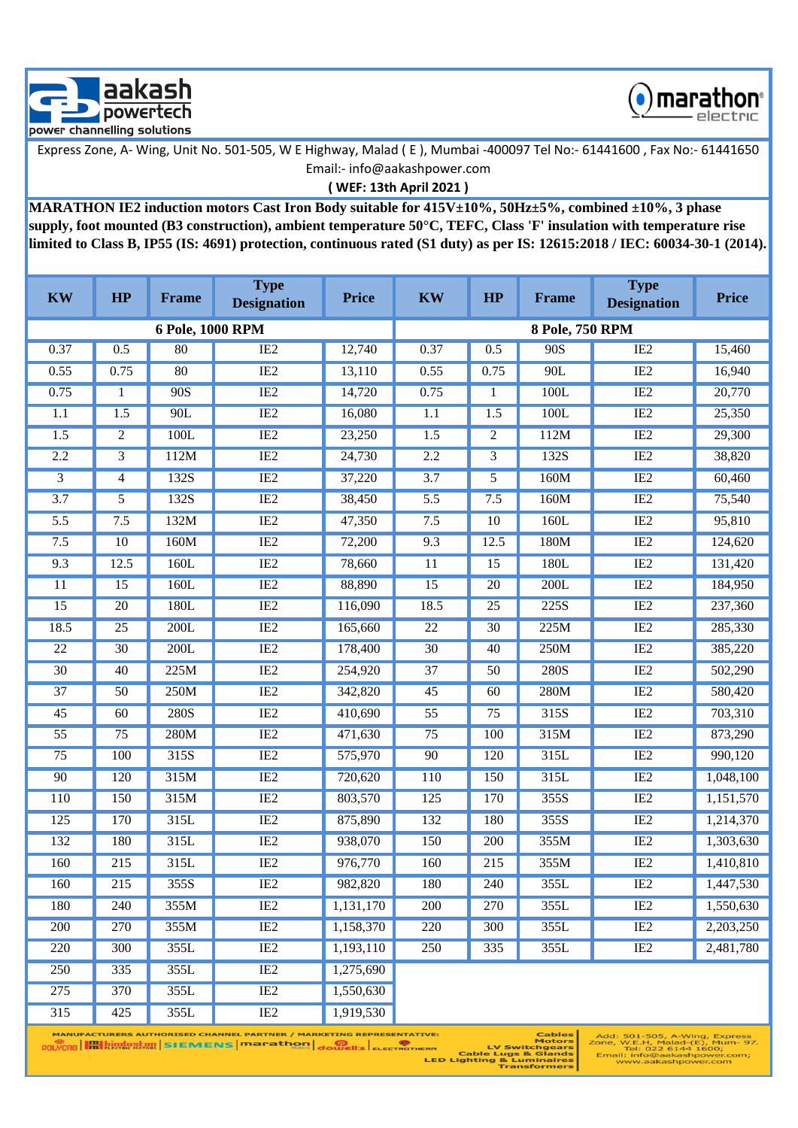



**( WEF: 13th April 2021 )**

**MARATHON IE2 induction motors Cast Iron Body suitable for 415V±10%, 50Hz±5%, combined ±10%, 3 phase supply, foot mounted (B3 construction), ambient temperature 50°C, TEFC, Class 'F' insulation with temperature rise limited to Class B, IP55 (IS: 4691) protection, continuous rated (S1 duty) as per IS: 12615:2018 / IEC: 60034-30-1 (2014).**

| <b>KW</b>        | HP               | <b>Frame</b>     | <b>Type</b><br><b>Designation</b> | <b>Price</b> | <b>KW</b>        | HP               | Frame             | <b>Type</b><br><b>Designation</b> | <b>Price</b> |
|------------------|------------------|------------------|-----------------------------------|--------------|------------------|------------------|-------------------|-----------------------------------|--------------|
|                  |                  | 6 Pole, 1000 RPM |                                   |              |                  |                  | 8 Pole, 750 RPM   |                                   |              |
| 0.37             | 0.5              | 80               | IE <sub>2</sub>                   | 12,740       | 0.37             | 0.5              | 90S               | IE2                               | 15,460       |
| 0.55             | 0.75             | 80               | IE2                               | 13,110       | 0.55             | 0.75             | 90L               | IE2                               | 16,940       |
| 0.75             | $\mathbf{1}$     | 90S              | IE2                               | 14,720       | 0.75             | 1                | 100L              | IE2                               | 20,770       |
| 1.1              | $\overline{1.5}$ | 90L              | IE2                               | 16,080       | 1.1              | $\overline{1.5}$ | 100L              | IE2                               | 25,350       |
| $\overline{1.5}$ | $\overline{2}$   | 100L             | IE2                               | 23,250       | 1.5              | 2                | 112M              | IE2                               | 29,300       |
| 2.2              | 3                | 112M             | IE2                               | 24,730       | 2.2              | $\overline{3}$   | 132S              | IE2                               | 38,820       |
| 3                | 4                | 132S             | IE2                               | 37,220       | $\overline{3.7}$ | 5                | 160M              | IE2                               | 60,460       |
| $\overline{3.7}$ | 5                | 132S             | IE2                               | 38,450       | 5.5              | 7.5              | 160M              | IE2                               | 75,540       |
| $\overline{5.5}$ | 7.5              | 132M             | IE2                               | 47,350       | 7.5              | $\overline{10}$  | 160L              | IE2                               | 95,810       |
| 7.5              | 10               | 160M             | IE2                               | 72,200       | 9.3              | 12.5             | 180M              | IE2                               | 124,620      |
| 9.3              | 12.5             | 160L             | IE2                               | 78,660       | $\overline{11}$  | $\overline{15}$  | 180L              | IE2                               | 131,420      |
| $\overline{11}$  | $\overline{15}$  | 160L             | IE2                               | 88,890       | $\overline{15}$  | $\overline{20}$  | 200L              | IE2                               | 184,950      |
| 15               | 20               | 180L             | IE2                               | 116,090      | 18.5             | 25               | $\overline{225S}$ | IE2                               | 237,360      |
| 18.5             | 25               | 200L             | IE2                               | 165,660      | $\overline{22}$  | $\overline{30}$  | 225M              | IE2                               | 285,330      |
| $\overline{22}$  | $\overline{30}$  | 200L             | IE2                               | 178,400      | $\overline{30}$  | 40               | 250M              | IE2                               | 385,220      |
| $\overline{30}$  | 40               | 225M             | IE2                               | 254,920      | 37               | 50               | 280S              | IE2                               | 502,290      |
| $\overline{37}$  | 50               | 250M             | IE2                               | 342,820      | 45               | 60               | 280M              | IE2                               | 580,420      |
| $\overline{45}$  | 60               | <b>280S</b>      | IE2                               | 410,690      | $\overline{55}$  | $\overline{75}$  | 315S              | IE2                               | 703,310      |
| 55               | $\overline{75}$  | 280M             | IE2                               | 471,630      | 75               | 100              | 315M              | IE2                               | 873,290      |
| $\overline{75}$  | 100              | 315S             | IE2                               | 575,970      | 90               | 120              | 315L              | IE2                               | 990,120      |
| 90               | 120              | 315M             | IE2                               | 720,620      | 110              | 150              | 315L              | IE2                               | 1,048,100    |
| 110              | 150              | 315M             | IE2                               | 803,570      | 125              | 170              | 355S              | IE2                               | 1,151,570    |
| 125              | 170              | 315L             | IE2                               | 875,890      | 132              | 180              | 355S              | IE2                               | 1,214,370    |
| 132              | 180              | 315L             | IE2                               | 938,070      | 150              | 200              | 355M              | IE2                               | 1,303,630    |
| 160              | 215              | 315L             | IE2                               | 976,770      | 160              | 215              | 355M              | IE2                               | 1,410,810    |
| 160              | 215              | 355S             | IE <sub>2</sub>                   | 982,820      | 180              | 240              | 355L              | IE <sub>2</sub>                   | 1,447,530    |
| 180              | 240              | 355M             | IE <sub>2</sub>                   | 1,131,170    | 200              | 270              | 355L              | IE2                               | 1,550,630    |
| 200              | 270              | 355M             | IE <sub>2</sub>                   | 1,158,370    | 220              | 300              | 355L              | IE <sub>2</sub>                   | 2,203,250    |
| 220              | 300              | 355L             | IE <sub>2</sub>                   | 1,193,110    | 250              | 335              | 355L              | IE <sub>2</sub>                   | 2,481,780    |
| 250              | 335              | 355L             | IE <sub>2</sub>                   | 1,275,690    |                  |                  |                   |                                   |              |
| 275              | 370              | 355L             | IE <sub>2</sub>                   | 1,550,630    |                  |                  |                   |                                   |              |
| 315              | 425              | 355L             | IE2                               | 1,919,530    |                  |                  |                   |                                   |              |

**MANUFACTURERS AUTHORISED CHANNEL PARTNER / MARKETING REPRESENTATIVE: POLYCAB HILLICAR RESERVENS MARACHERS** dowell's ELECTROTHERM

**Cables**<br>Motors

Motors<br>Es LV Switchgears<br>LED Lighting & Luminaires<br>LED Lighting & Luminaires<br>Transformers

Add: 501-505, A-Wing, Express<br>Zone, W.E.H, Malad-(E), Mum- 97.<br>Tel: 022 6144 1600;<br>Email: Info@aakashpower.com;<br>www.aakashpower.com;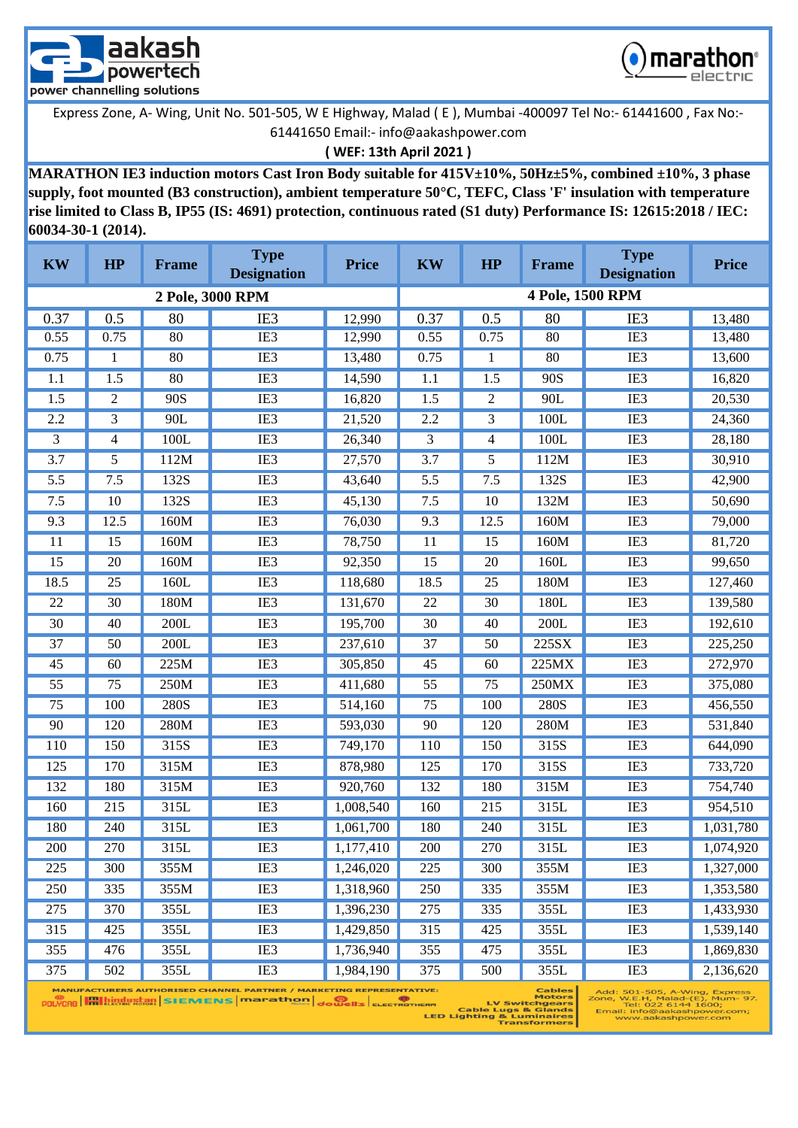



**( WEF: 13th April 2021 )**

**MARATHON IE3 induction motors Cast Iron Body suitable for 415V±10%, 50Hz±5%, combined ±10%, 3 phase supply, foot mounted (B3 construction), ambient temperature 50°C, TEFC, Class 'F' insulation with temperature rise limited to Class B, IP55 (IS: 4691) protection, continuous rated (S1 duty) Performance IS: 12615:2018 / IEC: 60034-30-1 (2014).**

| <b>KW</b>        | HP             | <b>Frame</b> | <b>Type</b><br><b>Designation</b> | <b>Price</b> | <b>KW</b>       | HP   | <b>Frame</b> | <b>Type</b><br><b>Designation</b> | <b>Price</b> |
|------------------|----------------|--------------|-----------------------------------|--------------|-----------------|------|--------------|-----------------------------------|--------------|
|                  |                |              | 2 Pole, 3000 RPM                  |              |                 |      |              | 4 Pole, 1500 RPM                  |              |
| 0.37             | 0.5            | 80           | IE <sub>3</sub>                   | 12,990       | 0.37            | 0.5  | 80           | IE <sub>3</sub>                   | 13,480       |
| 0.55             | 0.75           | 80           | IE3                               | 12,990       | 0.55            | 0.75 | 80           | IE3                               | 13,480       |
| 0.75             | 1              | 80           | IE3                               | 13,480       | 0.75            | 1    | 80           | IE3                               | 13,600       |
| 1.1              | 1.5            | 80           | IE3                               | 14,590       | 1.1             | 1.5  | 90S          | IE3                               | 16,820       |
| 1.5              | $\overline{c}$ | 90S          | IE <sub>3</sub>                   | 16,820       | 1.5             | 2    | 90L          | IE3                               | 20,530       |
| 2.2              | 3              | 90L          | IE3                               | 21,520       | 2.2             | 3    | 100L         | IE3                               | 24,360       |
| 3                | 4              | 100L         | IE3                               | 26,340       | 3               | 4    | 100L         | IE3                               | 28,180       |
| $\overline{3.7}$ | 5              | 112M         | IE3                               | 27,570       | 3.7             | 5    | 112M         | IE3                               | 30,910       |
| 5.5              | 7.5            | 132S         | IE3                               | 43,640       | 5.5             | 7.5  | 132S         | IE3                               | 42,900       |
| 7.5              | 10             | 132S         | IE <sub>3</sub>                   | 45,130       | 7.5             | 10   | 132M         | IE <sub>3</sub>                   | 50,690       |
| 9.3              | 12.5           | 160M         | IE3                               | 76,030       | 9.3             | 12.5 | 160M         | IE3                               | 79,000       |
| 11               | 15             | 160M         | IE3                               | 78,750       | 11              | 15   | 160M         | IE3                               | 81,720       |
| 15               | 20             | 160M         | IE <sub>3</sub>                   | 92,350       | 15              | 20   | 160L         | IE3                               | 99,650       |
| 18.5             | 25             | 160L         | IE <sub>3</sub>                   | 118,680      | 18.5            | 25   | 180M         | IE3                               | 127,460      |
| 22               | 30             | 180M         | IE3                               | 131,670      | 22              | 30   | 180L         | IE3                               | 139,580      |
| 30               | 40             | 200L         | IE3                               | 195,700      | 30              | 40   | 200L         | IE3                               | 192,610      |
| 37               | 50             | 200L         | IE3                               | 237,610      | 37              | 50   | 225SX        | IE <sub>3</sub>                   | 225,250      |
| 45               | 60             | 225M         | IE3                               | 305,850      | 45              | 60   | 225MX        | IE3                               | 272,970      |
| $\overline{55}$  | 75             | 250M         | IE3                               | 411,680      | $\overline{55}$ | 75   | 250MX        | IE3                               | 375,080      |
| 75               | 100            | 280S         | IE3                               | 514,160      | 75              | 100  | 280S         | IE3                               | 456,550      |
| 90               | 120            | 280M         | IE3                               | 593,030      | 90              | 120  | 280M         | IE3                               | 531,840      |
| 110              | 150            | 315S         | IE3                               | 749,170      | 110             | 150  | 315S         | IE3                               | 644,090      |
| 125              | 170            | 315M         | IE <sub>3</sub>                   | 878,980      | 125             | 170  | 315S         | IE <sub>3</sub>                   | 733,720      |
| 132              | 180            | 315M         | IE3                               | 920,760      | 132             | 180  | 315M         | IE3                               | 754,740      |
| 160              | 215            | 315L         | IE <sub>3</sub>                   | 1,008,540    | 160             | 215  | 315L         | IE3                               | 954,510      |
| 180              | 240            | 315L         | IE3                               | 1,061,700    | 180             | 240  | 315L         | IE3                               | 1,031,780    |
| 200              | 270            | 315L         | IE <sub>3</sub>                   | 1,177,410    | 200             | 270  | 315L         | IE <sub>3</sub>                   | 1,074,920    |
| 225              | 300            | 355M         | IE <sub>3</sub>                   | 1,246,020    | 225             | 300  | 355M         | IE3                               | 1,327,000    |
| 250              | 335            | 355M         | IE3                               | 1,318,960    | 250             | 335  | 355M         | IE3                               | 1,353,580    |
| 275              | 370            | 355L         | IE3                               | 1,396,230    | 275             | 335  | 355L         | IE3                               | 1,433,930    |
| 315              | 425            | 355L         | IE3                               | 1,429,850    | 315             | 425  | 355L         | IE3                               | 1,539,140    |
| 355              | 476            | 355L         | IE3                               | 1,736,940    | 355             | 475  | 355L         | IE3                               | 1,869,830    |
| 375              | 502            | 355L         | IE3                               | 1,984,190    | 375             | 500  | 355L         | IE3                               | 2,136,620    |

POLYCRO **Hallingustan** SIEMENS marathon dowell's ELECTROTIC

able:<br>Motor:<br>ERM Cable Lugs & Gland:<br>LED Lighting & Luminaire:<br>Transformer:

້ິງ7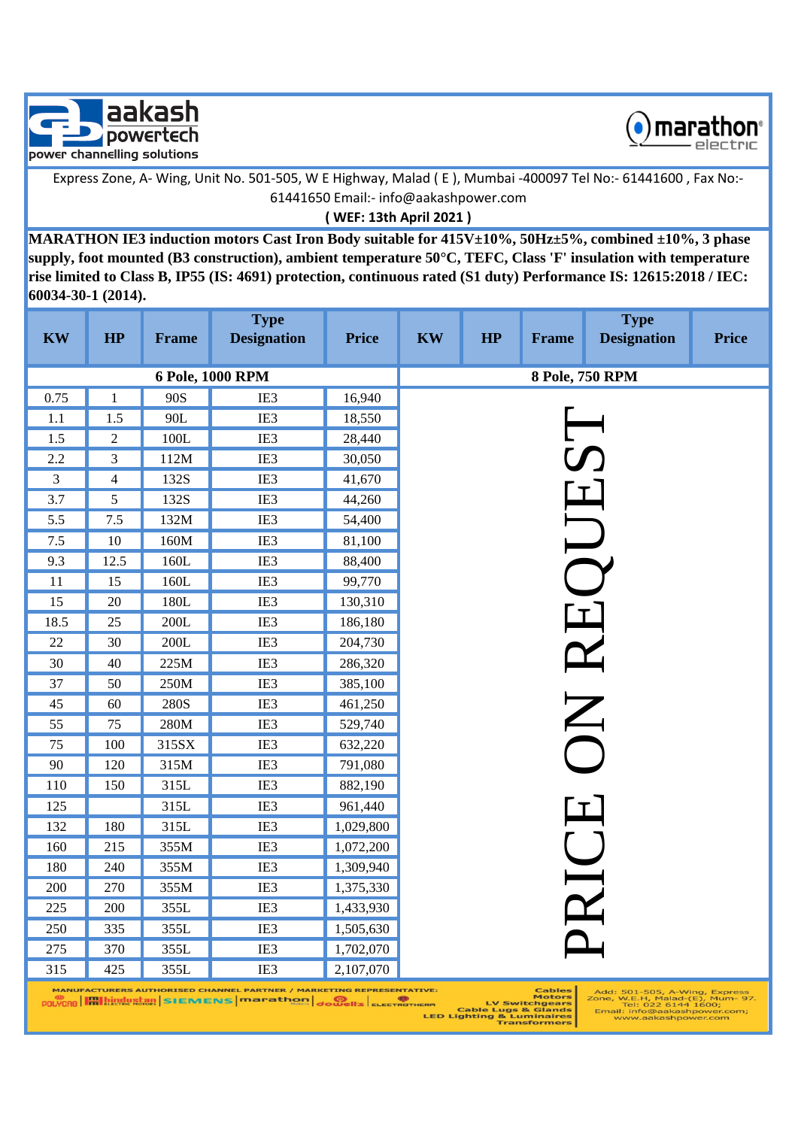



**( WEF: 13th April 2021 )**

**MARATHON IE3 induction motors Cast Iron Body suitable for 415V±10%, 50Hz±5%, combined ±10%, 3 phase supply, foot mounted (B3 construction), ambient temperature 50°C, TEFC, Class 'F' insulation with temperature rise limited to Class B, IP55 (IS: 4691) protection, continuous rated (S1 duty) Performance IS: 12615:2018 / IEC: 60034-30-1 (2014).**

| <b>KW</b>      | HP             | Frame  | <b>Type</b><br><b>Designation</b> | <b>Price</b> | <b>KW</b> | HP | <b>Frame</b> | <b>Type</b><br><b>Designation</b> | <b>Price</b> |
|----------------|----------------|--------|-----------------------------------|--------------|-----------|----|--------------|-----------------------------------|--------------|
|                |                |        | 6 Pole, 1000 RPM                  |              |           |    |              | 8 Pole, 750 RPM                   |              |
| 0.75           | $\mathbf{1}$   | 90S    | IE3                               | 16,940       |           |    |              |                                   |              |
| 1.1            | 1.5            | 90L    | IE3                               | 18,550       |           |    |              |                                   |              |
| 1.5            | $\sqrt{2}$     | 100L   | IE3                               | 28,440       |           |    |              |                                   |              |
| 2.2            | 3              | 112M   | IE3                               | 30,050       |           |    |              |                                   |              |
| $\overline{3}$ | $\overline{4}$ | 132S   | IE3                               | 41,670       |           |    |              |                                   |              |
| 3.7            | 5              | 132S   | IE3                               | 44,260       |           |    |              |                                   |              |
| 5.5            | $7.5\,$        | 132M   | IE3                               | 54,400       |           |    |              |                                   |              |
| 7.5            | $10\,$         | 160M   | IE3                               | 81,100       |           |    |              | JUJ                               |              |
| 9.3            | 12.5           | 160L   | IE3                               | 88,400       |           |    |              |                                   |              |
| 11             | 15             | 160L   | IE3                               | 99,770       |           |    |              |                                   |              |
| 15             | $20\,$         | 180L   | IE3                               | 130,310      |           |    |              |                                   |              |
| 18.5           | 25             | 200L   | IE3                               | 186,180      |           |    |              |                                   |              |
| 22             | 30             | $200L$ | IE3                               | 204,730      |           |    |              |                                   |              |
| 30             | 40             | 225M   | IE3                               | 286,320      |           |    |              |                                   |              |
| 37             | 50             | 250M   | IE3                               | 385,100      |           |    |              |                                   |              |
| 45             | 60             | 280S   | IE3                               | 461,250      |           |    |              | ON RE                             |              |
| 55             | 75             | 280M   | IE3                               | 529,740      |           |    |              |                                   |              |
| $75\,$         | 100            | 315SX  | IE3                               | 632,220      |           |    |              |                                   |              |
| 90             | 120            | 315M   | IE3                               | 791,080      |           |    |              |                                   |              |
| 110            | 150            | 315L   | IE3                               | 882,190      |           |    |              |                                   |              |
| 125            |                | 315L   | IE3                               | 961,440      |           |    |              |                                   |              |
| 132            | 180            | 315L   | IE3                               | 1,029,800    |           |    |              |                                   |              |
| 160            | 215            | 355M   | IE3                               | 1,072,200    |           |    |              |                                   |              |
| 180            | 240            | 355M   | IE3                               | 1,309,940    |           |    |              |                                   |              |
| 200            | 270            | 355M   | IE3                               | 1,375,330    |           |    |              |                                   |              |
| 225            | 200            | 355L   | IE3                               | 1,433,930    |           |    |              | RICH                              |              |
| 250            | 335            | 355L   | IE3                               | 1,505,630    |           |    |              |                                   |              |
| 275            | 370            | 355L   | IE3                               | 1,702,070    |           |    |              |                                   |              |
| 315            | 425            | 355L   | IE3                               | 2,107,070    |           |    |              |                                   |              |

MANUFACTURERS AUTHORISED CHANNEL PARTNER / MARKETING REPRESENTATIVE

Add: 501-505, A-Wing, Express<br>Zone, W.E.H, Malad-(E), Mum- 97.<br>Tel: 022 6144 1600;<br>Email: info@aakashpower.com;<br>www.aakashpower.com

Cable:<br>Cable Lugs & Glands<br>LV Switchgear<br>LED Lighting & Luminaire<br>Transformer:<br>Transformer: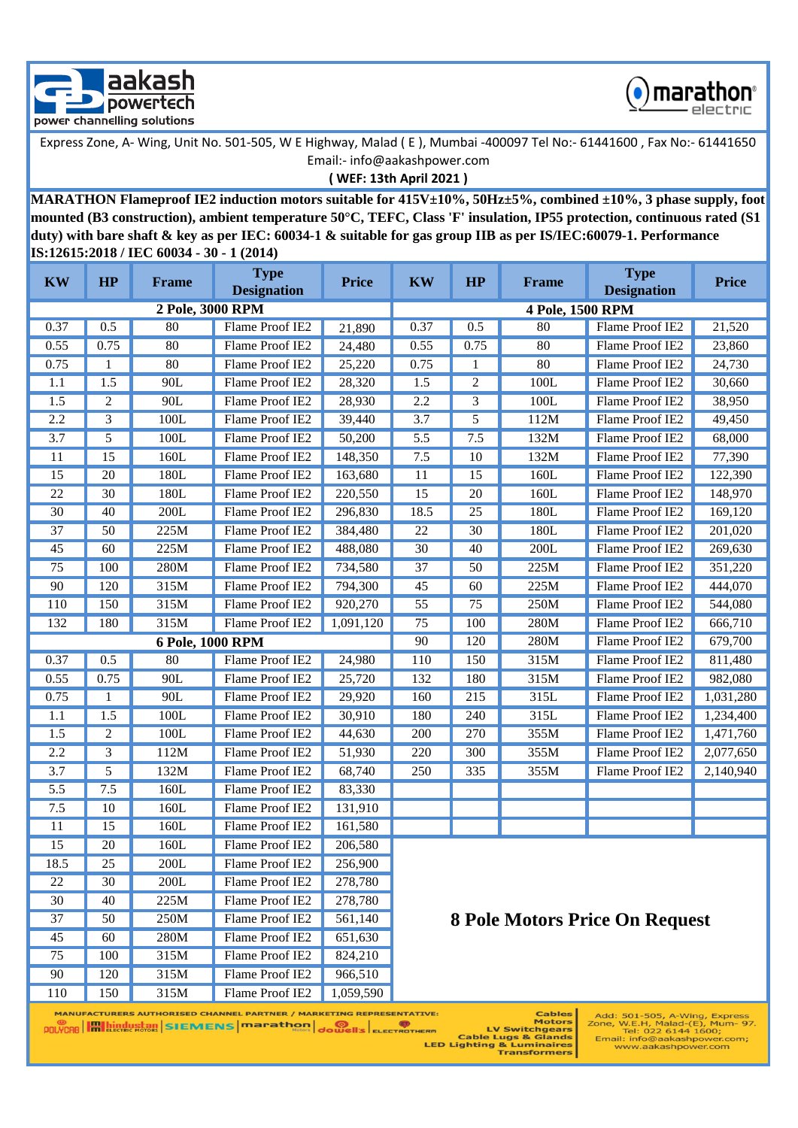



**( WEF: 13th April 2021 )**

**MARATHON Flameproof IE2 induction motors suitable for 415V±10%, 50Hz±5%, combined ±10%, 3 phase supply, foot mounted (B3 construction), ambient temperature 50°C, TEFC, Class 'F' insulation, IP55 protection, continuous rated (S1 duty) with bare shaft & key as per IEC: 60034-1 & suitable for gas group IIB as per IS/IEC:60079-1. Performance IS:12615:2018 / IEC 60034 - 30 - 1 (2014)**

| <b>KW</b> | HP   | <b>Frame</b>     | <b>Type</b><br><b>Designation</b> | <b>Price</b> | <b>Type</b><br><b>KW</b><br>HP<br><b>Price</b><br><b>Frame</b><br><b>Designation</b> |                |                  |                                |           |  |
|-----------|------|------------------|-----------------------------------|--------------|--------------------------------------------------------------------------------------|----------------|------------------|--------------------------------|-----------|--|
|           |      | 2 Pole, 3000 RPM |                                   |              |                                                                                      |                | 4 Pole, 1500 RPM |                                |           |  |
| 0.37      | 0.5  | 80               | Flame Proof IE2                   | 21,890       | 0.37                                                                                 | 0.5            | 80               | Flame Proof IE2                | 21,520    |  |
| 0.55      | 0.75 | 80               | Flame Proof IE2                   | 24,480       | 0.55                                                                                 | 0.75           | 80               | Flame Proof IE2                | 23,860    |  |
| 0.75      | 1    | 80               | Flame Proof IE2                   | 25,220       | 0.75                                                                                 | 1              | 80               | Flame Proof IE2                | 24,730    |  |
| 1.1       | 1.5  | 90L              | Flame Proof IE2                   | 28,320       | 1.5                                                                                  | $\overline{c}$ | 100L             | Flame Proof IE2                | 30,660    |  |
| 1.5       | 2    | 90L              | Flame Proof IE2                   | 28,930       | 2.2                                                                                  | $\overline{3}$ | 100L             | Flame Proof IE2                | 38,950    |  |
| 2.2       | 3    | 100L             | Flame Proof IE2                   | 39,440       | 3.7                                                                                  | 5              | 112M             | Flame Proof IE2                | 49,450    |  |
| 3.7       | 5    | 100L             | Flame Proof IE2                   | 50,200       | 5.5                                                                                  | 7.5            | 132M             | Flame Proof IE2                | 68,000    |  |
| 11        | 15   | 160L             | Flame Proof IE2                   | 148,350      | 7.5                                                                                  | 10             | 132M             | Flame Proof IE2                | 77,390    |  |
| 15        | 20   | 180L             | Flame Proof IE2                   | 163,680      | 11                                                                                   | 15             | 160L             | Flame Proof IE2                | 122,390   |  |
| 22        | 30   | 180L             | Flame Proof IE2                   | 220,550      | 15                                                                                   | 20             | 160L             | Flame Proof IE2                | 148,970   |  |
| 30        | 40   | 200L             | Flame Proof IE2                   | 296,830      | 18.5                                                                                 | 25             | 180L             | Flame Proof IE2                | 169,120   |  |
| 37        | 50   | 225M             | Flame Proof IE2                   | 384,480      | 22                                                                                   | 30             | 180L             | Flame Proof IE2                | 201,020   |  |
| 45        | 60   | 225M             | Flame Proof IE2                   | 488,080      | 30                                                                                   | 40             | 200L             | Flame Proof IE2                | 269,630   |  |
| 75        | 100  | 280M             | Flame Proof IE2                   | 734,580      | 37                                                                                   | 50             | 225M             | Flame Proof IE2                | 351,220   |  |
| 90        | 120  | 315M             | Flame Proof IE2                   | 794,300      | 45                                                                                   | 60             | 225M             | Flame Proof IE2                | 444,070   |  |
| 110       | 150  | 315M             | Flame Proof IE2                   | 920,270      | 55                                                                                   | 75             | 250M             | Flame Proof IE2                | 544,080   |  |
| 132       | 180  | 315M             | Flame Proof IE2                   | 1,091,120    | 75                                                                                   | 100            | 280M             | Flame Proof IE2                | 666,710   |  |
|           |      | 6 Pole, 1000 RPM |                                   |              | 280M<br>90<br>120<br>Flame Proof IE2<br>679,700                                      |                |                  |                                |           |  |
| 0.37      | 0.5  | 80               | Flame Proof IE2                   | 24,980       | 110                                                                                  | 150            | 315M             | Flame Proof IE2                | 811,480   |  |
| 0.55      | 0.75 | 90L              | Flame Proof IE2                   | 25,720       | 132                                                                                  | 180            | 315M             | Flame Proof IE2                | 982,080   |  |
| 0.75      | 1    | 90L              | Flame Proof IE2                   | 29,920       | 160                                                                                  | 215            | 315L             | Flame Proof IE2                | 1,031,280 |  |
| 1.1       | 1.5  | 100L             | Flame Proof IE2                   | 30,910       | 180                                                                                  | 240            | 315L             | Flame Proof IE2                | 1,234,400 |  |
| 1.5       | 2    | 100L             | Flame Proof IE2                   | 44,630       | 200                                                                                  | 270            | 355M             | Flame Proof IE2                | 1,471,760 |  |
| 2.2       | 3    | 112M             | Flame Proof IE2                   | 51,930       | 220                                                                                  | 300            | 355M             | Flame Proof IE2                | 2,077,650 |  |
| 3.7       | 5    | 132M             | Flame Proof IE2                   | 68,740       | 250                                                                                  | 335            | 355M             | Flame Proof IE2                | 2,140,940 |  |
| 5.5       | 7.5  | 160L             | Flame Proof IE2                   | 83,330       |                                                                                      |                |                  |                                |           |  |
| 7.5       | 10   | 160L             | Flame Proof IE2                   | 131,910      |                                                                                      |                |                  |                                |           |  |
| 11        | 15   | 160L             | Flame Proof IE2                   | 161,580      |                                                                                      |                |                  |                                |           |  |
| 15        | 20   | 160L             | Flame Proof IE2                   | 206,580      |                                                                                      |                |                  |                                |           |  |
| 18.5      | 25   | 200L             | Flame Proof IE2                   | 256,900      |                                                                                      |                |                  |                                |           |  |
| 22        | 30   | $200L$           | Flame Proof IE2                   | 278,780      |                                                                                      |                |                  |                                |           |  |
| 30        | 40   | 225M             | Flame Proof IE2                   | 278,780      |                                                                                      |                |                  |                                |           |  |
| 37        | 50   | 250M             | Flame Proof IE2                   | 561,140      |                                                                                      |                |                  | 8 Pole Motors Price On Request |           |  |
| 45        | 60   | 280M             | Flame Proof IE2                   | 651,630      |                                                                                      |                |                  |                                |           |  |
| 75        | 100  | 315M             | Flame Proof IE2                   | 824,210      |                                                                                      |                |                  |                                |           |  |
| 90        | 120  | 315M             | Flame Proof IE2                   | 966,510      |                                                                                      |                |                  |                                |           |  |
| 110       | 150  | 315M             | Flame Proof IE2                   | 1,059,590    |                                                                                      |                |                  |                                |           |  |

MANUFACTURERS AUTHORISED CHANNEL PARTNER / MARKETING REPRESENTATIVE: 

IVE: Cables<br>ERM LV Switchgears<br>Cable Lugs & Glands<br>LED Lighting & Luminaires<br>Transformers

Add: 501-505, A-Wing, Express<br>Zone, W.E.H, Malad-(E), Mum- 97.<br>Tel: 022 6144 1600;<br>Email: info@aakashpower.com;<br>www.aakashpower.com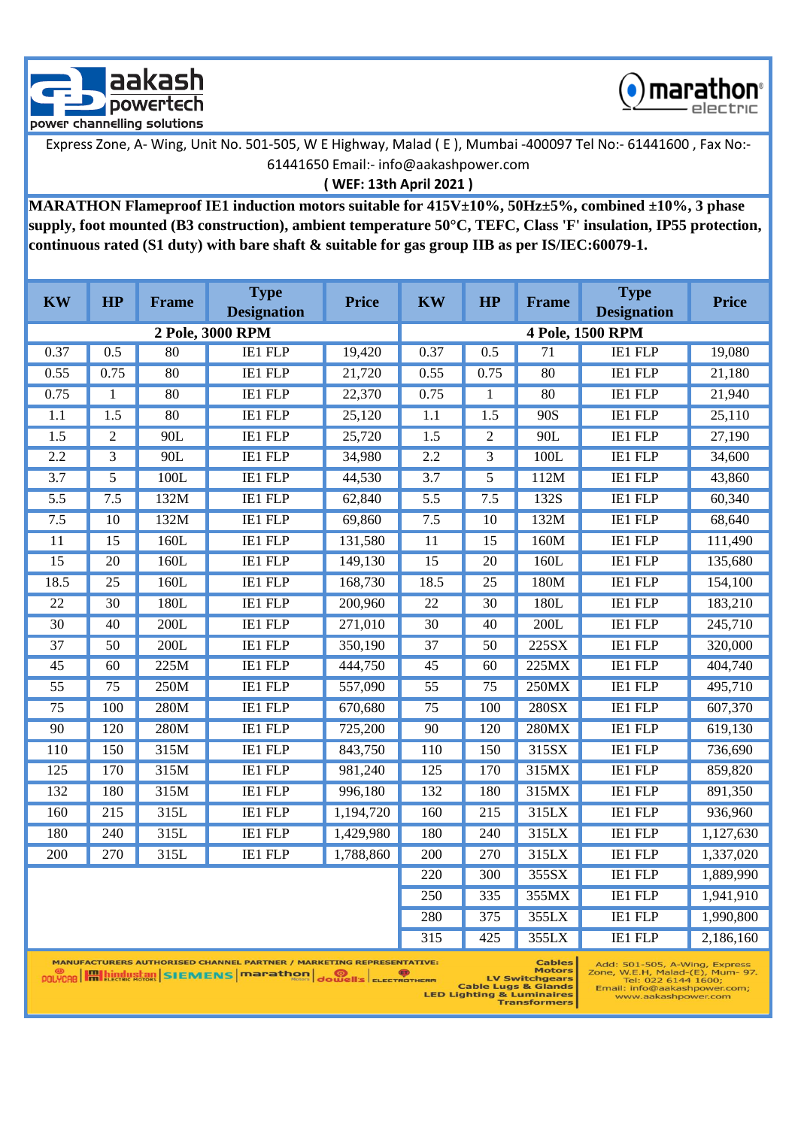



**( WEF: 13th April 2021 )**

**MARATHON Flameproof IE1 induction motors suitable for 415V±10%, 50Hz±5%, combined ±10%, 3 phase supply, foot mounted (B3 construction), ambient temperature 50°C, TEFC, Class 'F' insulation, IP55 protection, continuous rated (S1 duty) with bare shaft & suitable for gas group IIB as per IS/IEC:60079-1.**

| <b>KW</b>        | <b>HP</b>        | Frame           | <b>Type</b><br><b>Designation</b> | <b>Price</b> | <b>KW</b>        | HP               | <b>Frame</b>    | <b>Type</b><br><b>Designation</b> | <b>Price</b> |
|------------------|------------------|-----------------|-----------------------------------|--------------|------------------|------------------|-----------------|-----------------------------------|--------------|
|                  |                  |                 | 2 Pole, 3000 RPM                  |              |                  |                  |                 | 4 Pole, 1500 RPM                  |              |
| 0.37             | 0.5              | 80              | <b>IE1 FLP</b>                    | 19,420       | 0.37             | 0.5              | $\overline{71}$ | <b>IE1 FLP</b>                    | 19,080       |
| 0.55             | 0.75             | 80              | <b>IE1 FLP</b>                    | 21,720       | 0.55             | 0.75             | 80              | <b>IE1 FLP</b>                    | 21,180       |
| 0.75             | $\mathbf{1}$     | 80              | <b>IE1 FLP</b>                    | 22,370       | 0.75             | $\mathbf{1}$     | 80              | <b>IE1 FLP</b>                    | 21,940       |
| $\overline{1.1}$ | $\overline{1.5}$ | $\overline{80}$ | <b>IE1 FLP</b>                    | 25,120       | 1.1              | $\overline{1.5}$ | 90S             | <b>IE1 FLP</b>                    | 25,110       |
| $\overline{1.5}$ | $\overline{c}$   | 90L             | <b>IE1 FLP</b>                    | 25,720       | $\overline{1.5}$ | $\overline{2}$   | 90L             | <b>IE1 FLP</b>                    | 27,190       |
| 2.2              | $\overline{3}$   | 90L             | <b>IE1 FLP</b>                    | 34,980       | 2.2              | $\overline{3}$   | 100L            | <b>IE1 FLP</b>                    | 34,600       |
| $\overline{3.7}$ | 5                | 100L            | <b>IE1 FLP</b>                    | 44,530       | $\overline{3.7}$ | 5                | 112M            | <b>IE1 FLP</b>                    | 43,860       |
| $\overline{5.5}$ | 7.5              | 132M            | <b>IE1 FLP</b>                    | 62,840       | $\overline{5.5}$ | 7.5              | 132S            | <b>IE1 FLP</b>                    | 60,340       |
| 7.5              | $\overline{10}$  | 132M            | <b>IE1 FLP</b>                    | 69,860       | 7.5              | 10               | 132M            | <b>IE1 FLP</b>                    | 68,640       |
| $\overline{11}$  | 15               | 160L            | <b>IE1 FLP</b>                    | 131,580      | $\overline{11}$  | 15               | 160M            | <b>IE1 FLP</b>                    | 111,490      |
| $\overline{15}$  | $\overline{20}$  | 160L            | <b>IE1 FLP</b>                    | 149,130      | $\overline{15}$  | $\overline{20}$  | 160L            | <b>IE1 FLP</b>                    | 135,680      |
| 18.5             | $\overline{25}$  | 160L            | <b>IE1 FLP</b>                    | 168,730      | 18.5             | $\overline{25}$  | 180M            | <b>IE1 FLP</b>                    | 154,100      |
| $\overline{22}$  | $\overline{30}$  | 180L            | <b>IE1 FLP</b>                    | 200,960      | $\overline{22}$  | 30               | 180L            | <b>IE1 FLP</b>                    | 183,210      |
| $\overline{30}$  | 40               | 200L            | <b>IE1 FLP</b>                    | 271,010      | $\overline{30}$  | 40               | 200L            | <b>IE1 FLP</b>                    | 245,710      |
| $\overline{37}$  | $\overline{50}$  | 200L            | <b>IE1 FLP</b>                    | 350,190      | $\overline{37}$  | $\overline{50}$  | 225SX           | <b>IE1 FLP</b>                    | 320,000      |
| $\overline{45}$  | 60               | 225M            | <b>IE1 FLP</b>                    | 444,750      | $\overline{45}$  | 60               | 225MX           | <b>IE1 FLP</b>                    | 404,740      |
| $\overline{55}$  | 75               | 250M            | <b>IE1 FLP</b>                    | 557,090      | $\overline{55}$  | 75               | 250MX           | IE1 FLP                           | 495,710      |
| $\overline{75}$  | 100              | 280M            | <b>IE1 FLP</b>                    | 670,680      | $\overline{75}$  | 100              | <b>280SX</b>    | <b>IE1 FLP</b>                    | 607,370      |
| 90               | 120              | 280M            | <b>IE1 FLP</b>                    | 725,200      | 90               | 120              | 280MX           | <b>IE1 FLP</b>                    | 619,130      |
| 110              | 150              | 315M            | <b>IE1 FLP</b>                    | 843,750      | 110              | 150              | 315SX           | <b>IE1 FLP</b>                    | 736,690      |
| $\overline{125}$ | 170              | 315M            | <b>IE1 FLP</b>                    | 981,240      | $\overline{125}$ | 170              | 315MX           | <b>IE1 FLP</b>                    | 859,820      |
| 132              | 180              | 315M            | <b>IE1 FLP</b>                    | 996,180      | 132              | 180              | 315MX           | <b>IE1 FLP</b>                    | 891,350      |
| 160              | $\overline{215}$ | 315L            | <b>IE1 FLP</b>                    | 1,194,720    | 160              | $\overline{215}$ | 315LX           | <b>IE1 FLP</b>                    | 936,960      |
| 180              | 240              | 315L            | <b>IE1 FLP</b>                    | 1,429,980    | 180              | 240              | 315LX           | <b>IE1 FLP</b>                    | 1,127,630    |
| $\overline{200}$ | 270              | 315L            | <b>IE1 FLP</b>                    | 1,788,860    | 200              | $\overline{270}$ | 315LX           | <b>IE1 FLP</b>                    | 1,337,020    |
|                  |                  |                 |                                   |              | $\overline{220}$ | 300              | 355SX           | <b>IE1 FLP</b>                    | 1,889,990    |
|                  |                  |                 |                                   |              | 250              | 335              | 355MX           | <b>IE1 FLP</b>                    | 1,941,910    |
|                  |                  |                 |                                   |              | 280              | $\overline{375}$ | 355LX           | <b>IE1 FLP</b>                    | 1,990,800    |
|                  |                  |                 |                                   |              | 315              | 425              | 355LX           | IE1 FLP                           | 2,186,160    |

Add: 501-505, A-Wing, Express<br>Zone, W.E.H, Malad-(E), Mum- 97.<br>Tel: 022 6144 1600;<br>Email: info@aakashpower.com;<br>www.aakashpower.com

MANUFACTURERS AUTHORISED CHANNEL PARTNER / MARKETING REPRESENTATIVE: **POLYCAR HALLICRIC STRINGERS MODEL DISPOSED SCHOOLS ELECTROTHERM** 

TVE: Cables<br>Motors<br>Exm LV Switchgears<br>Cable Lugs & Glands<br>LED Lighting & Luminaires<br>Transformers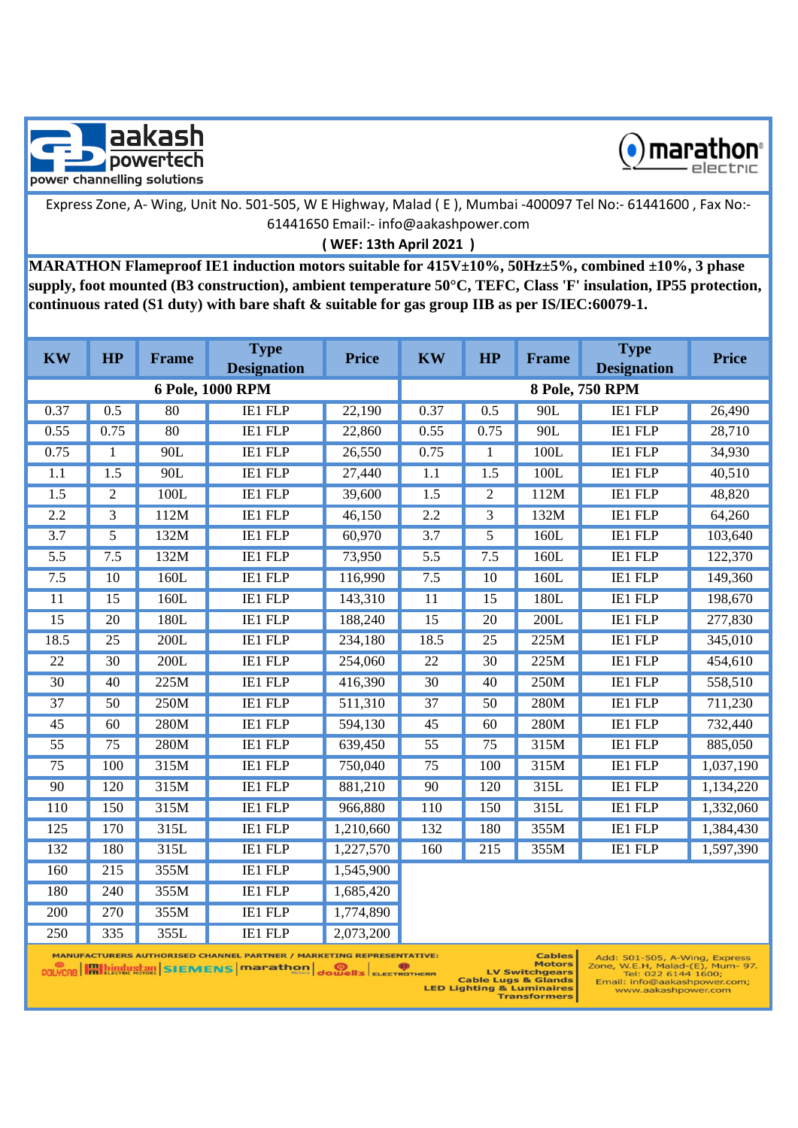



**( WEF: 13th April 2021 )**

**MARATHON Flameproof IE1 induction motors suitable for 415V±10%, 50Hz±5%, combined ±10%, 3 phase supply, foot mounted (B3 construction), ambient temperature 50°C, TEFC, Class 'F' insulation, IP55 protection, continuous rated (S1 duty) with bare shaft & suitable for gas group IIB as per IS/IEC:60079-1.**

| <b>KW</b>        | HP                                                                                                                            | Frame | <b>Type</b><br><b>Designation</b> | <b>Price</b> | <b>KW</b>        | HP              | <b>Frame</b> | <b>Type</b><br><b>Designation</b> | <b>Price</b> |  |
|------------------|-------------------------------------------------------------------------------------------------------------------------------|-------|-----------------------------------|--------------|------------------|-----------------|--------------|-----------------------------------|--------------|--|
|                  |                                                                                                                               |       | 6 Pole, 1000 RPM                  |              |                  |                 |              | 8 Pole, 750 RPM                   |              |  |
| 0.37             | 0.5                                                                                                                           | 80    | <b>IE1 FLP</b>                    | 22,190       | 0.37             | 0.5             | 90L          | <b>IE1 FLP</b>                    | 26,490       |  |
| 0.55             | 0.75                                                                                                                          | 80    | <b>IE1 FLP</b>                    | 22,860       | 0.55             | 0.75            | 90L          | <b>IE1 FLP</b>                    | 28,710       |  |
| 0.75             | 1                                                                                                                             | 90L   | <b>IE1 FLP</b>                    | 26,550       | 0.75             | 1               | 100L         | <b>IE1 FLP</b>                    | 34,930       |  |
| 1.1              | 1.5                                                                                                                           | 90L   | <b>IE1 FLP</b>                    | 27,440       | 1.1              | 1.5             | 100L         | IE1 FLP                           | 40,510       |  |
| $\overline{1.5}$ | $\overline{c}$                                                                                                                | 100L  | <b>IE1 FLP</b>                    | 39,600       | $\overline{1.5}$ | $\overline{2}$  | 112M         | <b>IE1 FLP</b>                    | 48,820       |  |
| 2.2              | 3                                                                                                                             | 112M  | <b>IE1 FLP</b>                    | 46,150       | 2.2              | 3               | 132M         | IE1 FLP                           | 64,260       |  |
| $\overline{3.7}$ | 5                                                                                                                             | 132M  | <b>IE1 FLP</b>                    | 60,970       | $\overline{3.7}$ | 5               | 160L         | <b>IE1 FLP</b>                    | 103,640      |  |
| 5.5              | 7.5                                                                                                                           | 132M  | <b>IE1 FLP</b>                    | 73,950       | 5.5              | 7.5             | 160L         | <b>IE1 FLP</b>                    | 122,370      |  |
| 7.5              | $\overline{10}$                                                                                                               | 160L  | <b>IE1 FLP</b>                    | 116,990      | 7.5              | $\overline{10}$ | 160L         | <b>IE1 FLP</b>                    | 149,360      |  |
| 11               | 15                                                                                                                            | 160L  | <b>IE1 FLP</b>                    | 143,310      | 11               | 15              | 180L         | IE1 FLP                           | 198,670      |  |
| $\overline{15}$  | $\overline{20}$                                                                                                               | 180L  | <b>IE1 FLP</b>                    | 188,240      | $\overline{15}$  | $\overline{20}$ | 200L         | <b>IE1 FLP</b>                    | 277,830      |  |
| 18.5             | 25                                                                                                                            | 200L  | <b>IE1 FLP</b>                    | 234,180      | 18.5             | 25              | 225M         | IE1 FLP                           | 345,010      |  |
| $\overline{22}$  | $\overline{30}$                                                                                                               | 200L  | <b>IE1 FLP</b>                    | 254,060      | $\overline{22}$  | $\overline{30}$ | 225M         | <b>IE1 FLP</b>                    | 454,610      |  |
| $\overline{30}$  | 40                                                                                                                            | 225M  | <b>IE1 FLP</b>                    | 416,390      | $\overline{30}$  | 40              | 250M         | <b>IE1 FLP</b>                    | 558,510      |  |
| $\overline{37}$  | $\overline{50}$                                                                                                               | 250M  | <b>IE1 FLP</b>                    | 511,310      | $\overline{37}$  | 50              | 280M         | <b>IE1 FLP</b>                    | 711,230      |  |
| 45               | 60                                                                                                                            | 280M  | <b>IE1 FLP</b>                    | 594,130      | 45               | 60              | 280M         | <b>IE1 FLP</b>                    | 732,440      |  |
| $\overline{55}$  | $\overline{75}$                                                                                                               | 280M  | <b>IE1 FLP</b>                    | 639,450      | $\overline{55}$  | $\overline{75}$ | 315M         | <b>IE1 FLP</b>                    | 885,050      |  |
| 75               | 100                                                                                                                           | 315M  | <b>IE1 FLP</b>                    | 750,040      | 75               | 100             | 315M         | IE1 FLP                           | 1,037,190    |  |
| 90               | 120                                                                                                                           | 315M  | <b>IE1 FLP</b>                    | 881,210      | 90               | 120             | 315L         | <b>IE1 FLP</b>                    | 1,134,220    |  |
| 110              | 150                                                                                                                           | 315M  | <b>IE1 FLP</b>                    | 966,880      | 110              | 150             | 315L         | <b>IE1 FLP</b>                    | 1,332,060    |  |
| 125              | 170                                                                                                                           | 315L  | <b>IE1 FLP</b>                    | 1,210,660    | 132              | 180             | 355M         | <b>IE1 FLP</b>                    | 1,384,430    |  |
| 132              | 180                                                                                                                           | 315L  | <b>IE1 FLP</b>                    | 1,227,570    | 160              | 215             | 355M         | <b>IE1 FLP</b>                    | 1,597,390    |  |
| 160              | 215                                                                                                                           | 355M  | <b>IE1 FLP</b>                    | 1,545,900    |                  |                 |              |                                   |              |  |
| 180              | 240                                                                                                                           | 355M  | <b>IE1 FLP</b>                    | 1,685,420    |                  |                 |              |                                   |              |  |
| 200              | $\overline{270}$                                                                                                              | 355M  | <b>IE1 FLP</b>                    | 1,774,890    |                  |                 |              |                                   |              |  |
| 250              | 335                                                                                                                           | 355L  | IE1 FLP                           | 2,073,200    |                  |                 |              |                                   |              |  |
|                  | <b>MANUFACTURERS AUTHORISED CHANNEL PARTNER / MARKETING REPRESENTATIVE:</b><br><b>Cables</b><br>Add: 501-505, A-Wing, Express |       |                                   |              |                  |                 |              |                                   |              |  |

LV Switchgears

**ERM LV Switchgears**<br>Cable Lugs & Glands<br>LED Lighting & Luminaires<br>Transformers

one, W.E.H, Malad-(E), Mum- 9.<br>Tel: 022 6144 1600;<br>Email: info@aakashpower.com;<br>www.aakashpower.com

**POLYCAB Hall ALICABLE STATE NEWS MODEL DRIVER SCHOOLS**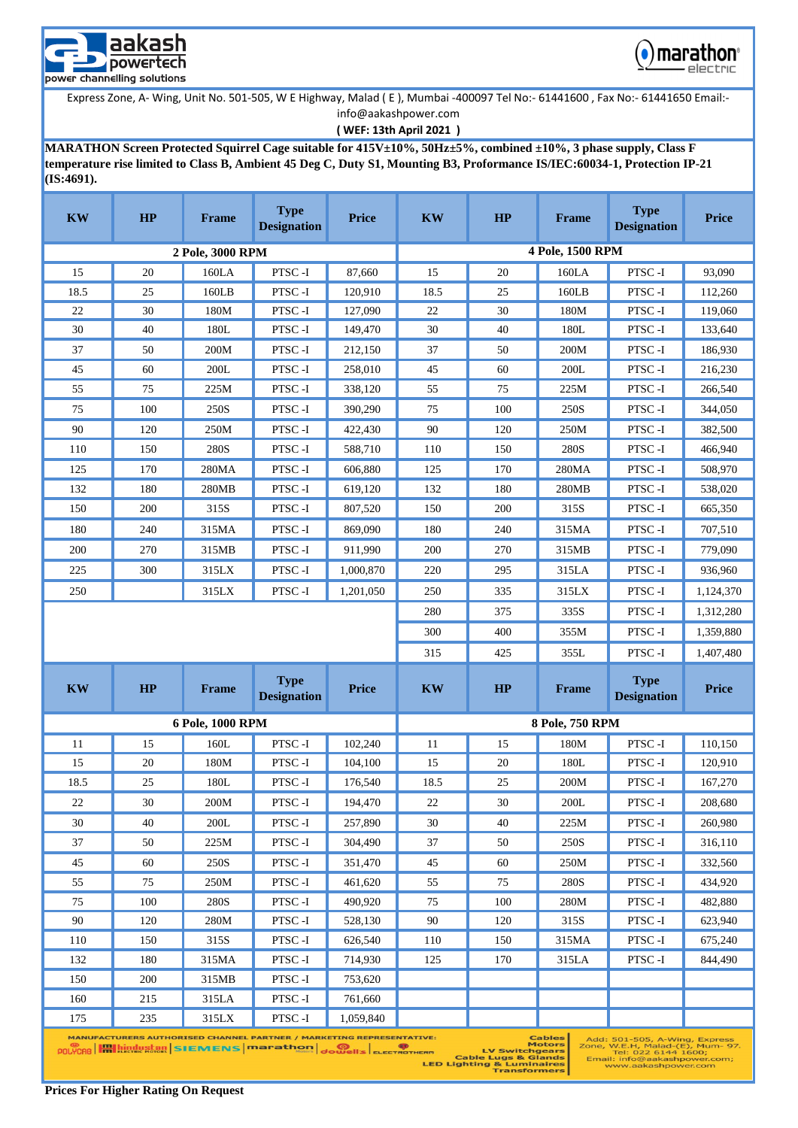



**( WEF: 13th April 2021 )**

**MARATHON Screen Protected Squirrel Cage suitable for 415V±10%, 50Hz±5%, combined ±10%, 3 phase supply, Class F temperature rise limited to Class B, Ambient 45 Deg C, Duty S1, Mounting B3, Proformance IS/IEC:60034-1, Protection IP-21 (IS:4691).** 

| <b>KW</b> | HP                                                                                                                                                                                                                                                                                                                                                                                                                                                       | <b>Frame</b>     | <b>Type</b><br><b>Designation</b> | <b>Price</b> | <b>KW</b> | HP  | <b>Frame</b>     | <b>Type</b><br><b>Designation</b> | <b>Price</b> |  |
|-----------|----------------------------------------------------------------------------------------------------------------------------------------------------------------------------------------------------------------------------------------------------------------------------------------------------------------------------------------------------------------------------------------------------------------------------------------------------------|------------------|-----------------------------------|--------------|-----------|-----|------------------|-----------------------------------|--------------|--|
|           |                                                                                                                                                                                                                                                                                                                                                                                                                                                          | 2 Pole, 3000 RPM |                                   |              |           |     | 4 Pole, 1500 RPM |                                   |              |  |
| 15        | 20                                                                                                                                                                                                                                                                                                                                                                                                                                                       | 160LA            | PTSC-I                            | 87,660       | 15        | 20  | 160LA            | PTSC-I                            | 93,090       |  |
| 18.5      | 25                                                                                                                                                                                                                                                                                                                                                                                                                                                       | 160LB            | PTSC-I                            | 120,910      | 18.5      | 25  | 160LB            | PTSC-I                            | 112,260      |  |
| 22        | 30                                                                                                                                                                                                                                                                                                                                                                                                                                                       | 180M             | PTSC-I                            | 127,090      | 22        | 30  | 180M             | PTSC-I                            | 119,060      |  |
| 30        | 40                                                                                                                                                                                                                                                                                                                                                                                                                                                       | 180L             | PTSC-I                            | 149,470      | 30        | 40  | 180L             | PTSC-I                            | 133,640      |  |
| 37        | 50                                                                                                                                                                                                                                                                                                                                                                                                                                                       | 200M             | PTSC-I                            | 212,150      | 37        | 50  | 200M             | PTSC-I                            | 186,930      |  |
| 45        | 60                                                                                                                                                                                                                                                                                                                                                                                                                                                       | 200L             | PTSC-I                            | 258,010      | 45        | 60  | 200L             | PTSC-I                            | 216,230      |  |
| 55        | 75                                                                                                                                                                                                                                                                                                                                                                                                                                                       | 225M             | PTSC-I                            | 338,120      | 55        | 75  | 225M             | PTSC-I                            | 266,540      |  |
| 75        | 100                                                                                                                                                                                                                                                                                                                                                                                                                                                      | 250S             | PTSC-I                            | 390,290      | 75        | 100 | 250S             | PTSC-I                            | 344,050      |  |
| 90        | 120                                                                                                                                                                                                                                                                                                                                                                                                                                                      | 250M             | PTSC-I                            | 422,430      | 90        | 120 | 250M             | PTSC-I                            | 382,500      |  |
| 110       | 150                                                                                                                                                                                                                                                                                                                                                                                                                                                      | 280S             | PTSC-I                            | 588,710      | 110       | 150 | 280S             | PTSC-I                            | 466,940      |  |
| 125       | 170                                                                                                                                                                                                                                                                                                                                                                                                                                                      | 280MA            | PTSC-I                            | 606,880      | 125       | 170 | 280MA            | PTSC-I                            | 508,970      |  |
| 132       | 180                                                                                                                                                                                                                                                                                                                                                                                                                                                      | 280MB            | PTSC-I                            | 619,120      | 132       | 180 | 280MB            | PTSC-I                            | 538,020      |  |
| 150       | 200                                                                                                                                                                                                                                                                                                                                                                                                                                                      | 315S             | PTSC-I                            | 807,520      | 150       | 200 | 315S             | PTSC-I                            | 665,350      |  |
| 180       | 240                                                                                                                                                                                                                                                                                                                                                                                                                                                      | 315MA            | PTSC-I                            | 869,090      | 180       | 240 | 315MA            | PTSC-I                            | 707,510      |  |
| 200       | 270                                                                                                                                                                                                                                                                                                                                                                                                                                                      | 315MB            | PTSC-I                            | 911,990      | 200       | 270 | 315MB            | PTSC-I                            | 779,090      |  |
| 225       | 300                                                                                                                                                                                                                                                                                                                                                                                                                                                      | 315LX            | PTSC-I                            | 1,000,870    | 220       | 295 | 315LA            | PTSC-I                            | 936,960      |  |
| 250       |                                                                                                                                                                                                                                                                                                                                                                                                                                                          | 315LX            | PTSC-I                            | 1,201,050    | 250       | 335 | 315LX            | PTSC-I                            | 1,124,370    |  |
|           |                                                                                                                                                                                                                                                                                                                                                                                                                                                          |                  |                                   |              | 280       | 375 | 335S             | PTSC-I                            | 1,312,280    |  |
|           |                                                                                                                                                                                                                                                                                                                                                                                                                                                          |                  |                                   |              | 300       | 400 | 355M             | PTSC-I                            | 1,359,880    |  |
|           |                                                                                                                                                                                                                                                                                                                                                                                                                                                          |                  |                                   |              | 315       | 425 | 355L             | PTSC-I                            | 1,407,480    |  |
| <b>KW</b> | <b>HP</b>                                                                                                                                                                                                                                                                                                                                                                                                                                                | <b>Frame</b>     | <b>Type</b><br><b>Designation</b> | <b>Price</b> | <b>KW</b> | HP  | <b>Frame</b>     | <b>Type</b><br><b>Designation</b> | <b>Price</b> |  |
|           |                                                                                                                                                                                                                                                                                                                                                                                                                                                          | 6 Pole, 1000 RPM |                                   |              |           |     | 8 Pole, 750 RPM  |                                   |              |  |
| 11        | 15                                                                                                                                                                                                                                                                                                                                                                                                                                                       | 160L             | PTSC-I                            | 102,240      | 11        | 15  | 180M             | PTSC-I                            | 110,150      |  |
| 15        | 20                                                                                                                                                                                                                                                                                                                                                                                                                                                       | 180M             | PTSC-I                            | 104,100      | 15        | 20  | 180L             | PTSC-I                            | 120,910      |  |
| 18.5      | 25                                                                                                                                                                                                                                                                                                                                                                                                                                                       | 180L             | PTSC-I                            | 176,540      | 18.5      | 25  | 200M             | PTSC-I                            | 167,270      |  |
| 22        | 30                                                                                                                                                                                                                                                                                                                                                                                                                                                       | 200M             | PTSC-I                            | 194,470      | 22        | 30  | 200L             | PTSC-I                            | 208,680      |  |
| 30        | 40                                                                                                                                                                                                                                                                                                                                                                                                                                                       | 200L             | PTSC-I                            | 257,890      | 30        | 40  | 225M             | PTSC-I                            | 260,980      |  |
| 37        | 50                                                                                                                                                                                                                                                                                                                                                                                                                                                       | 225M             | PTSC-I                            | 304,490      | 37        | 50  | 250S             | PTSC-I                            | 316,110      |  |
| 45        | 60                                                                                                                                                                                                                                                                                                                                                                                                                                                       | 250S             | PTSC-I                            | 351,470      | 45        | 60  | 250M             | PTSC-I                            | 332,560      |  |
| 55        | 75                                                                                                                                                                                                                                                                                                                                                                                                                                                       | 250M             | PTSC-I                            | 461,620      | 55        | 75  | 280S             | PTSC-I                            | 434,920      |  |
| 75        | 100                                                                                                                                                                                                                                                                                                                                                                                                                                                      | 280S             | PTSC-I                            | 490,920      | 75        | 100 | 280M             | PTSC-I                            | 482,880      |  |
| 90        | 120                                                                                                                                                                                                                                                                                                                                                                                                                                                      | 280M             | PTSC-I                            | 528,130      | 90        | 120 | 315S             | PTSC-I                            | 623,940      |  |
| 110       | 150                                                                                                                                                                                                                                                                                                                                                                                                                                                      | 315S             | PTSC-I                            | 626,540      | 110       | 150 | 315MA            | PTSC-I                            | 675,240      |  |
| 132       | 180                                                                                                                                                                                                                                                                                                                                                                                                                                                      | 315MA            | PTSC-I                            | 714,930      | 125       | 170 | 315LA            | PTSC-I                            | 844,490      |  |
| 150       | 200                                                                                                                                                                                                                                                                                                                                                                                                                                                      | 315MB            | PTSC-I                            | 753,620      |           |     |                  |                                   |              |  |
| 160       | 215                                                                                                                                                                                                                                                                                                                                                                                                                                                      | 315LA            | PTSC-I                            | 761,660      |           |     |                  |                                   |              |  |
| 175       | 235                                                                                                                                                                                                                                                                                                                                                                                                                                                      | 315LX            | PTSC-I                            | 1,059,840    |           |     |                  |                                   |              |  |
|           | MANUFACTURERS AUTHORISED CHANNEL PARTNER / MARKETING REPRESENTATIVE:<br><b>Cables</b><br>Add: 501-505, A-Wing, Express<br><b>Motors</b><br>Zone, W.E.H, Malad-(E), Mum- 97.<br><b>POLYCAO H Lindustan SIEMENS marathon dowell's ELECTROTHERM</b><br><b>LV Switchgears</b><br>Tel: 022 6144 1600;<br><b>Cable Lugs &amp; Glands</b><br>Email: info@aakashpower.com;<br><b>LED Lighting &amp; Luminaires</b><br>www.aakashpower.com<br><b>Transformers</b> |                  |                                   |              |           |     |                  |                                   |              |  |

**Prices For Higher Rating On Request**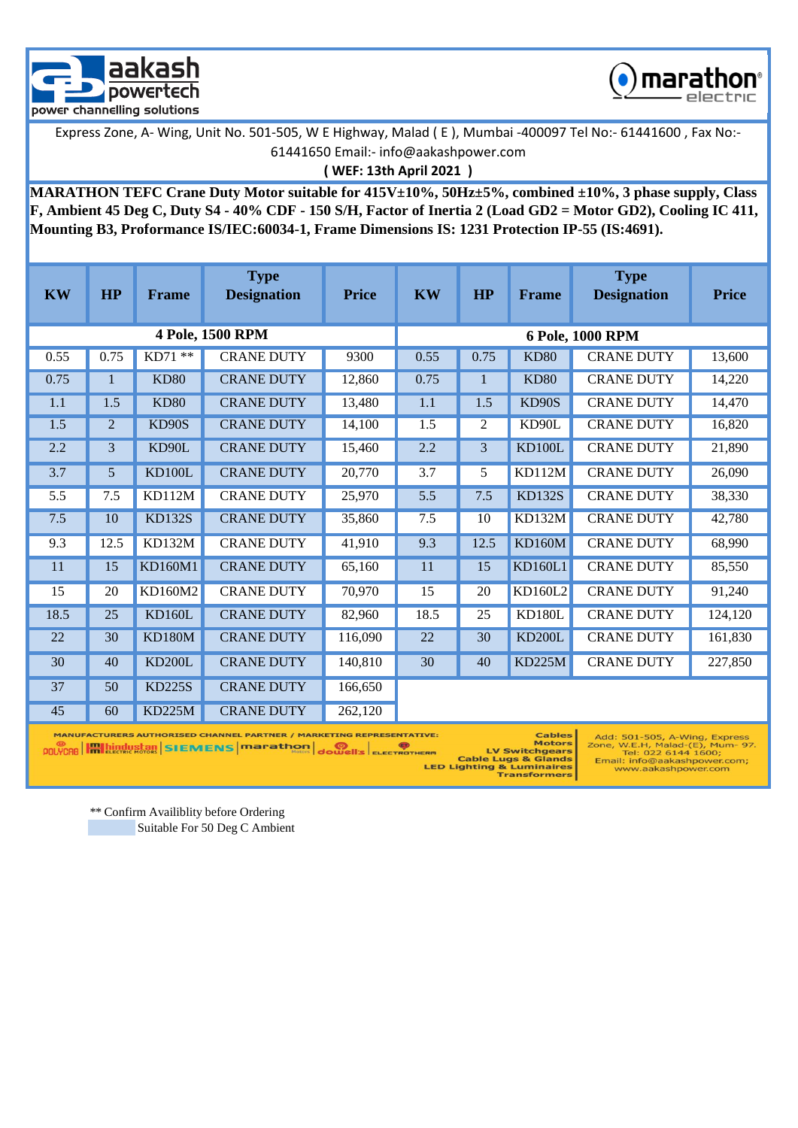



**( WEF: 13th April 2021 )**

**MARATHON TEFC Crane Duty Motor suitable for 415V±10%, 50Hz±5%, combined ±10%, 3 phase supply, Class F, Ambient 45 Deg C, Duty S4 - 40% CDF - 150 S/H, Factor of Inertia 2 (Load GD2 = Motor GD2), Cooling IC 411, Mounting B3, Proformance IS/IEC:60034-1, Frame Dimensions IS: 1231 Protection IP-55 (IS:4691).** 

| <b>KW</b>      | <b>HP</b>                                                                                                          | <b>Frame</b>                                                                                                                                                                                                                                     | <b>Type</b><br><b>Designation</b> | <b>Price</b> | <b>KW</b>        | HP   | <b>Frame</b>       | <b>Type</b><br><b>Designation</b> | <b>Price</b> |  |
|----------------|--------------------------------------------------------------------------------------------------------------------|--------------------------------------------------------------------------------------------------------------------------------------------------------------------------------------------------------------------------------------------------|-----------------------------------|--------------|------------------|------|--------------------|-----------------------------------|--------------|--|
|                |                                                                                                                    |                                                                                                                                                                                                                                                  | 4 Pole, 1500 RPM                  |              | 6 Pole, 1000 RPM |      |                    |                                   |              |  |
| 0.55           | 0.75                                                                                                               | KD71 **                                                                                                                                                                                                                                          | <b>CRANE DUTY</b>                 | 9300         | 0.55             | 0.75 | <b>KD80</b>        | <b>CRANE DUTY</b>                 | 13,600       |  |
| 0.75           | 1                                                                                                                  | <b>KD80</b>                                                                                                                                                                                                                                      | <b>CRANE DUTY</b>                 | 12.860       | 0.75             |      | <b>KD80</b>        | <b>CRANE DUTY</b>                 | 14,220       |  |
| 1.1            | 1.5                                                                                                                | <b>KD80</b>                                                                                                                                                                                                                                      | <b>CRANE DUTY</b>                 | 13,480       | 1.1              | 1.5  | KD <sub>90</sub> S | <b>CRANE DUTY</b>                 | 14,470       |  |
| 1.5            | 2                                                                                                                  | KD90S                                                                                                                                                                                                                                            | <b>CRANE DUTY</b>                 | 14,100       | 1.5              | 2    | KD90L              | <b>CRANE DUTY</b>                 | 16,820       |  |
| 2.2            | 3                                                                                                                  | KD90L                                                                                                                                                                                                                                            | <b>CRANE DUTY</b>                 | 15,460       | 2.2              | 3    | KD100L             | <b>CRANE DUTY</b>                 | 21,890       |  |
| 3.7            | 5                                                                                                                  | <b>KD100L</b>                                                                                                                                                                                                                                    | <b>CRANE DUTY</b>                 | 20,770       | 3.7              | 5    | KD112M             | <b>CRANE DUTY</b>                 | 26,090       |  |
| 5.5            | 7.5                                                                                                                | KD112M                                                                                                                                                                                                                                           | <b>CRANE DUTY</b>                 | 25,970       | 5.5              | 7.5  | <b>KD132S</b>      | <b>CRANE DUTY</b>                 | 38,330       |  |
| 7.5            | 10                                                                                                                 | <b>KD132S</b>                                                                                                                                                                                                                                    | <b>CRANE DUTY</b>                 | 35,860       | 7.5              | 10   | KD132M             | <b>CRANE DUTY</b>                 | 42,780       |  |
| 9.3            | 12.5                                                                                                               | KD132M                                                                                                                                                                                                                                           | <b>CRANE DUTY</b>                 | 41.910       | 9.3              | 12.5 | <b>KD160M</b>      | <b>CRANE DUTY</b>                 | 68.990       |  |
| 11             | 15                                                                                                                 | KD160M1                                                                                                                                                                                                                                          | <b>CRANE DUTY</b>                 | 65,160       | 11               | 15   | KD160L1            | <b>CRANE DUTY</b>                 | 85,550       |  |
| 15             | 20                                                                                                                 | KD160M2                                                                                                                                                                                                                                          | <b>CRANE DUTY</b>                 | 70,970       | 15               | 20   | KD160L2            | <b>CRANE DUTY</b>                 | 91,240       |  |
| 18.5           | 25                                                                                                                 | KD160L                                                                                                                                                                                                                                           | <b>CRANE DUTY</b>                 | 82,960       | 18.5             | 25   | <b>KD180L</b>      | <b>CRANE DUTY</b>                 | 124,120      |  |
| 22             | 30                                                                                                                 | <b>KD180M</b>                                                                                                                                                                                                                                    | <b>CRANE DUTY</b>                 | 116,090      | 22               | 30   | <b>KD200L</b>      | <b>CRANE DUTY</b>                 | 161,830      |  |
| 30             | 40                                                                                                                 | <b>KD200L</b>                                                                                                                                                                                                                                    | <b>CRANE DUTY</b>                 | 140,810      | 30               | 40   | <b>KD225M</b>      | <b>CRANE DUTY</b>                 | 227,850      |  |
| 37             | 50                                                                                                                 | <b>KD225S</b>                                                                                                                                                                                                                                    | <b>CRANE DUTY</b>                 | 166,650      |                  |      |                    |                                   |              |  |
| 45             | 60                                                                                                                 | <b>KD225M</b>                                                                                                                                                                                                                                    | <b>CRANE DUTY</b>                 | 262,120      |                  |      |                    |                                   |              |  |
| <b>POLYCAB</b> | <b>MANUFACTURERS AUTHORISED CHANNEL PARTNER / MARKETING REPRESENTATIVE:</b><br><b>A Lindustan SIEMENS Marathon</b> | <b>Cables</b><br>Add: 501-505, A-Wing, Express<br><b>Motors</b><br>Zone, W.E.H, Malad-(E), Mum- 97.<br>Tel: 022 6144 1600;<br>Email: info@aakashpower.com;<br><b>LED Lighting &amp; Luminaires</b><br>www.aakashpower.com<br><b>Transformers</b> |                                   |              |                  |      |                    |                                   |              |  |

\*\* Confirm Availiblity before Ordering

Suitable For 50 Deg C Ambient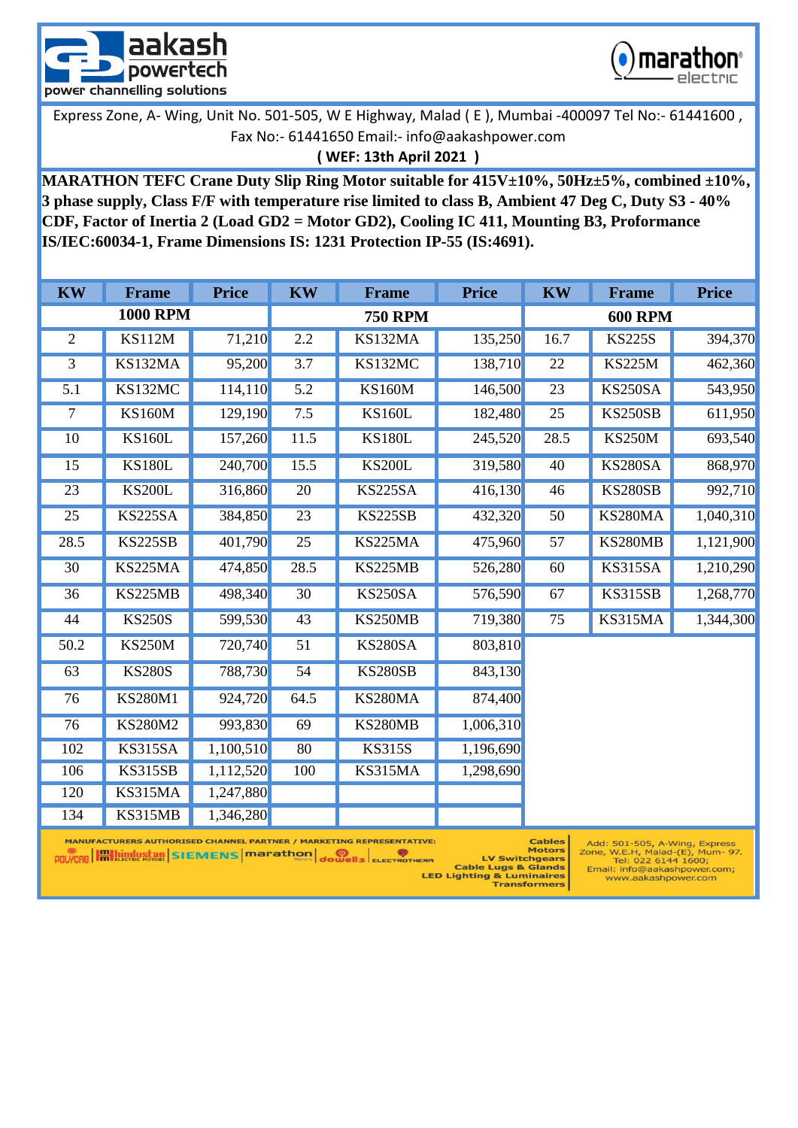



# **( WEF: 13th April 2021 )**

**MARATHON TEFC Crane Duty Slip Ring Motor suitable for 415V±10%, 50Hz±5%, combined ±10%, 3 phase supply, Class F/F with temperature rise limited to class B, Ambient 47 Deg C, Duty S3 - 40% CDF, Factor of Inertia 2 (Load GD2 = Motor GD2), Cooling IC 411, Mounting B3, Proformance IS/IEC:60034-1, Frame Dimensions IS: 1231 Protection IP-55 (IS:4691).** 

| <b>KW</b>        | <b>Frame</b>    | <b>Price</b> | <b>KW</b> | <b>Frame</b>                                                                | <b>Price</b> | <b>KW</b> | <b>Frame</b>                 | <b>Price</b> |
|------------------|-----------------|--------------|-----------|-----------------------------------------------------------------------------|--------------|-----------|------------------------------|--------------|
|                  | <b>1000 RPM</b> |              |           | <b>750 RPM</b>                                                              |              |           | <b>600 RPM</b>               |              |
| $\overline{2}$   | <b>KS112M</b>   | 71,210       | 2.2       | KS132MA                                                                     | 135,250      | 16.7      | <b>KS225S</b>                | 394,370      |
| 3                | KS132MA         | 95,200       | 3.7       | KS132MC                                                                     | 138,710      | 22        | <b>KS225M</b>                | 462,360      |
| $\overline{5.1}$ | KS132MC         | 114,110      | 5.2       | <b>KS160M</b>                                                               | 146,500      | 23        | <b>KS250SA</b>               | 543,950      |
| $\tau$           | <b>KS160M</b>   | 129,190      | 7.5       | <b>KS160L</b>                                                               | 182,480      | 25        | <b>KS250SB</b>               | 611,950      |
| 10               | <b>KS160L</b>   | 157,260      | 11.5      | <b>KS180L</b>                                                               | 245,520      | 28.5      | <b>KS250M</b>                | 693,540      |
| 15               | <b>KS180L</b>   | 240,700      | 15.5      | <b>KS200L</b>                                                               | 319,580      | 40        | <b>KS280SA</b>               | 868,970      |
| 23               | <b>KS200L</b>   | 316,860      | 20        | <b>KS225SA</b>                                                              | 416,130      | 46        | <b>KS280SB</b>               | 992,710      |
| 25               | <b>KS225SA</b>  | 384,850      | 23        | <b>KS225SB</b>                                                              | 432,320      | 50        | KS280MA                      | 1,040,310    |
| 28.5             | <b>KS225SB</b>  | 401,790      | 25        | KS225MA                                                                     | 475,960      | 57        | KS280MB                      | 1,121,900    |
| 30               | <b>KS225MA</b>  | 474,850      | 28.5      | KS225MB                                                                     | 526,280      | 60        | KS315SA                      | 1,210,290    |
| 36               | KS225MB         | 498,340      | 30        | KS250SA                                                                     | 576,590      | 67        | <b>KS315SB</b>               | 1,268,770    |
| 44               | <b>KS250S</b>   | 599,530      | 43        | KS250MB                                                                     | 719,380      | 75        | KS315MA                      | 1,344,300    |
| 50.2             | <b>KS250M</b>   | 720,740      | 51        | <b>KS280SA</b>                                                              | 803,810      |           |                              |              |
| 63               | <b>KS280S</b>   | 788,730      | 54        | <b>KS280SB</b>                                                              | 843,130      |           |                              |              |
| 76               | <b>KS280M1</b>  | 924,720      | 64.5      | KS280MA                                                                     | 874,400      |           |                              |              |
| 76               | <b>KS280M2</b>  | 993,830      | 69        | KS280MB                                                                     | 1,006,310    |           |                              |              |
| 102              | KS315SA         | 1,100,510    | 80        | <b>KS315S</b>                                                               | 1,196,690    |           |                              |              |
| 106              | <b>KS315SB</b>  | 1,112,520    | 100       | KS315MA                                                                     | 1,298,690    |           |                              |              |
| 120              | KS315MA         | 1,247,880    |           |                                                                             |              |           |                              |              |
| 134              | KS315MB         | 1,346,280    |           |                                                                             |              |           |                              |              |
|                  |                 |              |           | <b>MANUFACTURERS AUTHORISED CHANNEL PARTNER / MARKETING REPRESENTATIVE:</b> |              |           | Cables Add FOI FOR A Wine Ev |              |

Add: 501-505, A-Wing, Express<br>Zone, W.E.H, Malad-(E), Mum- 97.<br>Tel: 022 6144 1600;<br>Email: info@aakashpower.com;

www.aakashpower.com

MANUFACTURERS AUTHORISED CHANNEL PARTNER / MARKETING REPRESENTATIVE: POLYCABLE MARIARA SIEMENS Marathon Jouvell's ELECTROTHERM

Lables<br>Motors<br>LV Switchgears ERM Ly Switchender<br>Cable Lugs & Glands<br>LED Lighting & Luminaires<br>Transformers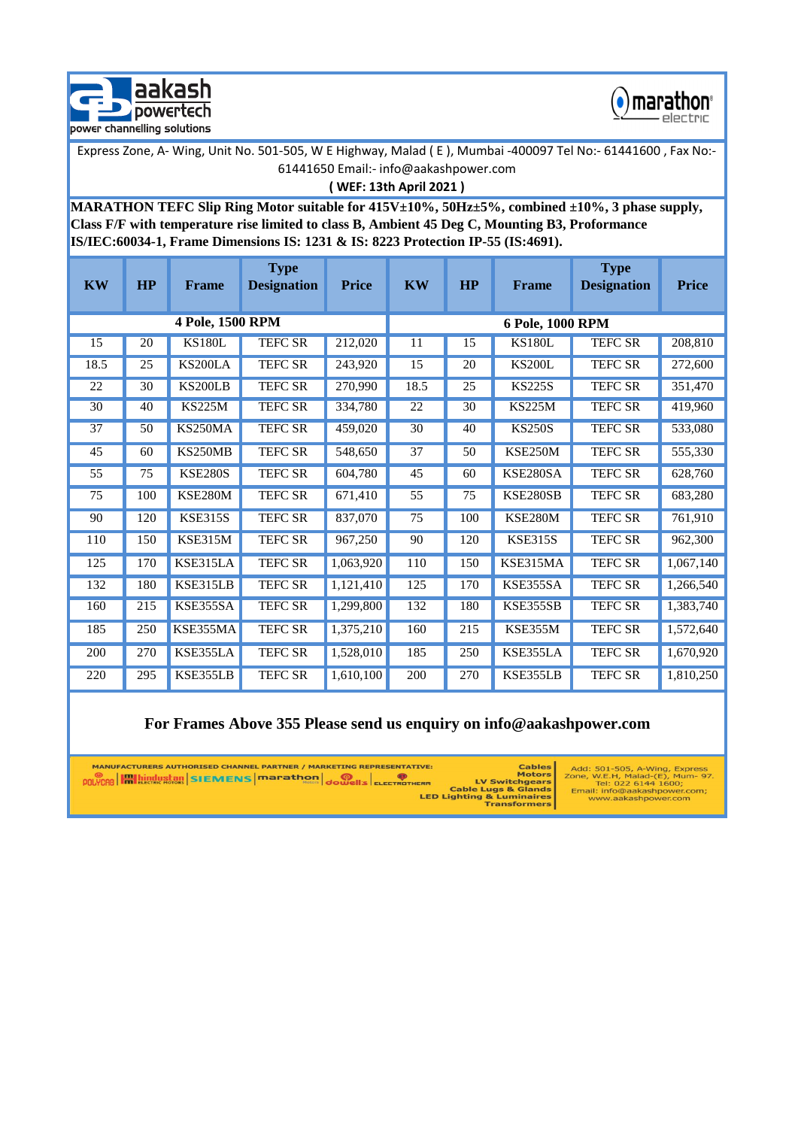



```
( WEF: 13th April 2021 )
```
**MARATHON TEFC Slip Ring Motor suitable for 415V±10%, 50Hz±5%, combined ±10%, 3 phase supply, Class F/F with temperature rise limited to class B, Ambient 45 Deg C, Mounting B3, Proformance IS/IEC:60034-1, Frame Dimensions IS: 1231 & IS: 8223 Protection IP-55 (IS:4691).** 

| <b>KW</b>       | HP  | <b>Frame</b>     | <b>Type</b><br><b>Designation</b> | <b>Price</b> | <b>KW</b>        | HP              | Frame          | <b>Type</b><br><b>Designation</b> | <b>Price</b> |  |  |
|-----------------|-----|------------------|-----------------------------------|--------------|------------------|-----------------|----------------|-----------------------------------|--------------|--|--|
|                 |     | 4 Pole, 1500 RPM |                                   |              | 6 Pole, 1000 RPM |                 |                |                                   |              |  |  |
| 15              | 20  | <b>KS180L</b>    | <b>TEFC SR</b>                    | 212,020      | 11               | 15              | <b>KS180L</b>  | <b>TEFC SR</b>                    | 208,810      |  |  |
| 18.5            | 25  | KS200LA          | TEFC SR                           | 243,920      | 15               | 20              | <b>KS200L</b>  | <b>TEFC SR</b>                    | 272,600      |  |  |
| 22              | 30  | <b>KS200LB</b>   | <b>TEFC SR</b>                    | 270,990      | 18.5             | 25              | <b>KS225S</b>  | <b>TEFC SR</b>                    | 351,470      |  |  |
| 30              | 40  | <b>KS225M</b>    | TEFC SR                           | 334,780      | $22\,$           | 30              | <b>KS225M</b>  | TEFC SR                           | 419,960      |  |  |
| 37              | 50  | KS250MA          | <b>TEFC SR</b>                    | 459,020      | 30               | 40              | <b>KS250S</b>  | <b>TEFC SR</b>                    | 533,080      |  |  |
| 45              | 60  | KS250MB          | <b>TEFC SR</b>                    | 548,650      | 37               | 50              | KSE250M        | <b>TEFC SR</b>                    | 555,330      |  |  |
| 55              | 75  | <b>KSE280S</b>   | <b>TEFC SR</b>                    | 604,780      | 45               | 60              | KSE280SA       | <b>TEFC SR</b>                    | 628,760      |  |  |
| $\overline{75}$ | 100 | <b>KSE280M</b>   | TEFC SR                           | 671,410      | $\overline{55}$  | $\overline{75}$ | KSE280SB       | <b>TEFC SR</b>                    | 683,280      |  |  |
| 90              | 120 | <b>KSE315S</b>   | <b>TEFC SR</b>                    | 837,070      | 75               | 100             | <b>KSE280M</b> | <b>TEFC SR</b>                    | 761,910      |  |  |
| 110             | 150 | KSE315M          | <b>TEFC SR</b>                    | 967,250      | 90               | 120             | <b>KSE315S</b> | <b>TEFC SR</b>                    | 962,300      |  |  |
| 125             | 170 | KSE315LA         | <b>TEFC SR</b>                    | 1,063,920    | 110              | 150             | KSE315MA       | TEFC SR                           | 1,067,140    |  |  |
| 132             | 180 | KSE315LB         | TEFC SR                           | 1,121,410    | 125              | 170             | KSE355SA       | <b>TEFC SR</b>                    | 1,266,540    |  |  |
| 160             | 215 | KSE355SA         | <b>TEFC SR</b>                    | 1,299,800    | 132              | 180             | KSE355SB       | <b>TEFC SR</b>                    | 1,383,740    |  |  |
| 185             | 250 | KSE355MA         | <b>TEFC SR</b>                    | 1,375,210    | 160              | 215             | KSE355M        | <b>TEFC SR</b>                    | 1,572,640    |  |  |
| 200             | 270 | KSE355LA         | <b>TEFC SR</b>                    | 1,528,010    | 185              | 250             | KSE355LA       | <b>TEFC SR</b>                    | 1,670,920    |  |  |
| 220             | 295 | KSE355LB         | <b>TEFC SR</b>                    | 1,610,100    | 200              | 270             | KSE355LB       | <b>TEFC SR</b>                    | 1,810,250    |  |  |

## **For Frames Above 355 Please send us enquiry on info@aakashpower.com**

| <b>MANUFACTURERS AUTHORISED CHANNEL PARTNER / MARKETING REPRESENTATIVE:</b><br><b>POLYCAB EXEMPLA CONTROL SECOND STATEMENT SCHOOLS CONTROL CONTROL CONTROL CONTROL CONTROL CONTROL CONTROL CONTROL CONTROL CONTROL CONTROL CONTROL CONTROL CONTROL CONTROL CONTROL CONTROL CONTROL CONTROL CONTROL CONTROL CONT</b> | <b>Cables</b><br><b>Motors</b><br><b>LV Switchgears</b><br><b>Cable Lugs &amp; Glands</b><br><b>LED Lighting &amp; Luminaires</b><br><b>Transformers</b> | Add: 501-505, A-Wing, Express<br>Zone, W.E.H, Malad-(E), Mum- 97.<br>Tel: 022 6144 1600:<br>Email: info@aakashpower.com;<br>www.aakashpower.com |
|---------------------------------------------------------------------------------------------------------------------------------------------------------------------------------------------------------------------------------------------------------------------------------------------------------------------|----------------------------------------------------------------------------------------------------------------------------------------------------------|-------------------------------------------------------------------------------------------------------------------------------------------------|
|---------------------------------------------------------------------------------------------------------------------------------------------------------------------------------------------------------------------------------------------------------------------------------------------------------------------|----------------------------------------------------------------------------------------------------------------------------------------------------------|-------------------------------------------------------------------------------------------------------------------------------------------------|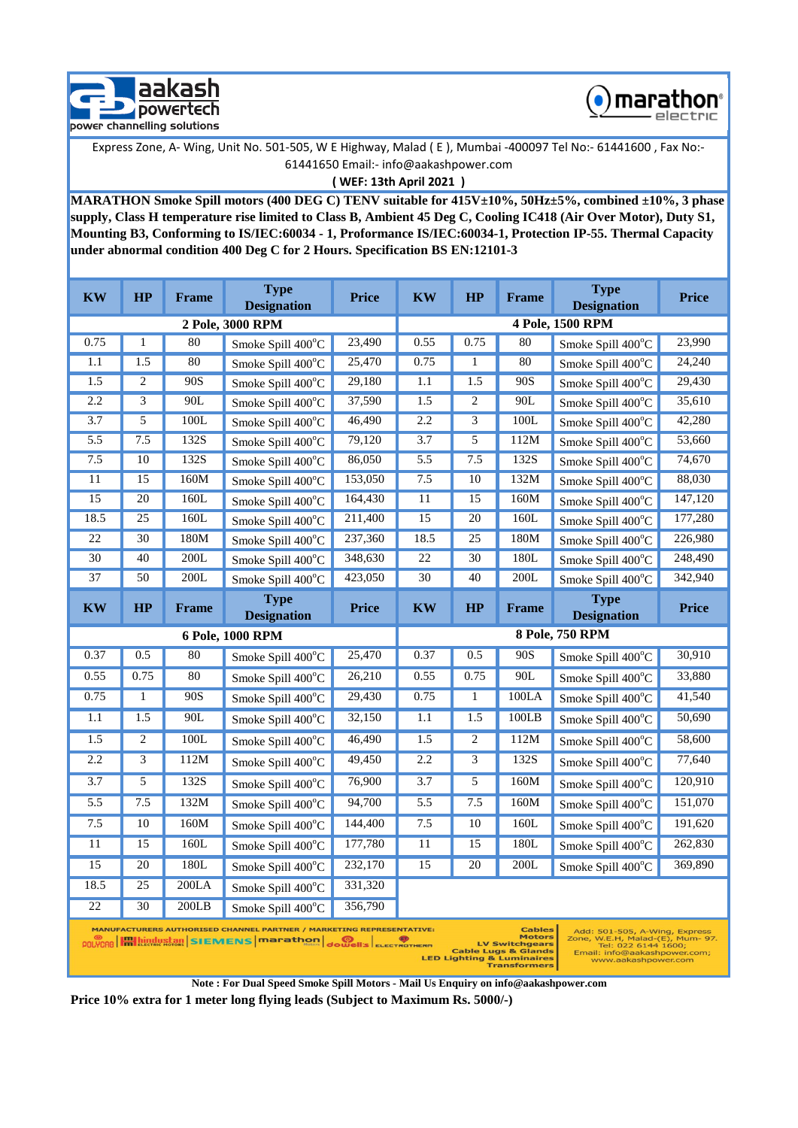



**( WEF: 13th April 2021 )**

**MARATHON Smoke Spill motors (400 DEG C) TENV suitable for 415V±10%, 50Hz±5%, combined ±10%, 3 phase supply, Class H temperature rise limited to Class B, Ambient 45 Deg C, Cooling IC418 (Air Over Motor), Duty S1, Mounting B3, Conforming to IS/IEC:60034 - 1, Proformance IS/IEC:60034-1, Protection IP-55. Thermal Capacity under abnormal condition 400 Deg C for 2 Hours. Specification BS EN:12101-3**

| <b>KW</b>                                                                                                                                                                                                                                                                                                                                                                                                                                    | HP           | <b>Frame</b> | <b>Type</b><br><b>Designation</b> | <b>Price</b> | <b>KW</b> | <b>HP</b>      | Frame                    | <b>Type</b><br><b>Designation</b> | <b>Price</b> |
|----------------------------------------------------------------------------------------------------------------------------------------------------------------------------------------------------------------------------------------------------------------------------------------------------------------------------------------------------------------------------------------------------------------------------------------------|--------------|--------------|-----------------------------------|--------------|-----------|----------------|--------------------------|-----------------------------------|--------------|
| 2 Pole, 3000 RPM                                                                                                                                                                                                                                                                                                                                                                                                                             |              |              |                                   |              |           |                |                          | 4 Pole, 1500 RPM                  |              |
| 0.75                                                                                                                                                                                                                                                                                                                                                                                                                                         | $\mathbf{1}$ | 80           | Smoke Spill 400°C                 | 23,490       | 0.55      | 0.75           | 80                       | Smoke Spill 400°C                 | 23,990       |
| 1.1                                                                                                                                                                                                                                                                                                                                                                                                                                          | 1.5          | 80           | Smoke Spill 400°C                 | 25,470       | 0.75      | $\mathbf{1}$   | 80                       | Smoke Spill 400°C                 | 24,240       |
| 1.5                                                                                                                                                                                                                                                                                                                                                                                                                                          | 2            | 90S          | Smoke Spill 400°C                 | 29,180       | 1.1       | 1.5            | 90S                      | Smoke Spill 400°C                 | 29,430       |
| 2.2                                                                                                                                                                                                                                                                                                                                                                                                                                          | 3            | 90L          | Smoke Spill 400°C                 | 37,590       | 1.5       | 2              | 90L                      | Smoke Spill 400°C                 | 35,610       |
| 3.7                                                                                                                                                                                                                                                                                                                                                                                                                                          | 5            | 100L         | Smoke Spill 400°C                 | 46,490       | 2.2       | 3              | 100L                     | Smoke Spill 400°C                 | 42,280       |
| 5.5                                                                                                                                                                                                                                                                                                                                                                                                                                          | 7.5          | 132S         | Smoke Spill $400^{\circ}$ C       | 79,120       | 3.7       | 5              | 112M                     | Smoke Spill $400^{\circ}$ C       | 53,660       |
| 7.5                                                                                                                                                                                                                                                                                                                                                                                                                                          | 10           | 132S         | Smoke Spill 400°C                 | 86,050       | 5.5       | 7.5            | 132S                     | Smoke Spill 400°C                 | 74,670       |
| 11                                                                                                                                                                                                                                                                                                                                                                                                                                           | 15           | 160M         | Smoke Spill 400°C                 | 153,050      | 7.5       | <sup>10</sup>  | 132M                     | Smoke Spill 400°C                 | 88,030       |
| 15                                                                                                                                                                                                                                                                                                                                                                                                                                           | 20           | 160L         | Smoke Spill 400°C                 | 164,430      | 11        | 15             | 160M                     | Smoke Spill $400^{\circ}$ C       | 147,120      |
| 18.5                                                                                                                                                                                                                                                                                                                                                                                                                                         | 25           | 160L         | Smoke Spill 400°C                 | 211,400      | 15        | 20             | 160L                     | Smoke Spill 400°C                 | 177,280      |
| 22                                                                                                                                                                                                                                                                                                                                                                                                                                           | 30           | 180M         | Smoke Spill 400°C                 | 237,360      | 18.5      | 25             | 180M                     | Smoke Spill 400°C                 | 226,980      |
| 30                                                                                                                                                                                                                                                                                                                                                                                                                                           | 40           | 200L         | Smoke Spill $400^{\circ}$ C       | 348,630      | 22        | 30             | 180L                     | Smoke Spill 400°C                 | 248,490      |
| 37                                                                                                                                                                                                                                                                                                                                                                                                                                           | 50           | 200L         | Smoke Spill 400°C                 | 423,050      | 30        | 40             | 200L                     | Smoke Spill 400°C                 | 342.940      |
| <b>KW</b>                                                                                                                                                                                                                                                                                                                                                                                                                                    | HP           | <b>Frame</b> | <b>Type</b><br><b>Designation</b> | <b>Price</b> | <b>KW</b> | HP             | <b>Frame</b>             | <b>Type</b><br><b>Designation</b> | <b>Price</b> |
|                                                                                                                                                                                                                                                                                                                                                                                                                                              |              |              | 6 Pole, 1000 RPM                  |              |           |                |                          | <b>8 Pole, 750 RPM</b>            |              |
| 0.37                                                                                                                                                                                                                                                                                                                                                                                                                                         | 0.5          | 80           | Smoke Spill 400°C                 | 25,470       | 0.37      | 0.5            | 90S                      | Smoke Spill 400°C                 | 30,910       |
| 0.55                                                                                                                                                                                                                                                                                                                                                                                                                                         | 0.75         | 80           | Smoke Spill 400°C                 | 26,210       | 0.55      | 0.75           | 90L<br>Smoke Spill 400°C |                                   | 33,880       |
| 0.75                                                                                                                                                                                                                                                                                                                                                                                                                                         | $\mathbf{1}$ | 90S          | Smoke Spill 400°C                 | 29,430       | 0.75      | $\mathbf{1}$   | 100LA                    | Smoke Spill $400^{\circ}$ C       | 41,540       |
| 1.1                                                                                                                                                                                                                                                                                                                                                                                                                                          | 1.5          | 90L          | Smoke Spill $400^{\circ}$ C       | 32,150       | 1.1       | 1.5            | 100LB                    | Smoke Spill $400^{\circ}$ C       | 50,690       |
| 1.5                                                                                                                                                                                                                                                                                                                                                                                                                                          | 2            | 100L         | Smoke Spill 400°C                 | 46,490       | 1.5       | $\overline{c}$ | 112M                     | Smoke Spill 400°C                 | 58,600       |
| 2.2                                                                                                                                                                                                                                                                                                                                                                                                                                          | 3            | 112M         | Smoke Spill $400^{\circ}$ C       | 49,450       | 2.2       | 3              | 132S                     | Smoke Spill $400^{\circ}$ C       | 77,640       |
| 3.7                                                                                                                                                                                                                                                                                                                                                                                                                                          | 5            | 132S         | Smoke Spill 400°C                 | 76,900       | 3.7       | 5              | 160M                     | Smoke Spill 400°C                 | 120,910      |
| 5.5                                                                                                                                                                                                                                                                                                                                                                                                                                          | 7.5          | 132M         | Smoke Spill 400°C                 | 94,700       | 5.5       | 7.5            | 160M                     | Smoke Spill 400°C                 | 151,070      |
| 7.5                                                                                                                                                                                                                                                                                                                                                                                                                                          | 10           | 160M         | Smoke Spill 400°C                 | 144,400      | 7.5       | 10             | 160L                     | Smoke Spill 400°C                 | 191,620      |
| $11\,$                                                                                                                                                                                                                                                                                                                                                                                                                                       | 15           | 160L         | Smoke Spill 400°C                 | 177,780      | 11        | 15             | 180L                     | Smoke Spill 400°C                 | 262,830      |
| 15                                                                                                                                                                                                                                                                                                                                                                                                                                           | 20           | 180L         | Smoke Spill $400^{\circ}$ C       | 232,170      | 15        | 20             | 200L                     | Smoke Spill $400^{\circ}$ C       | 369,890      |
| 18.5                                                                                                                                                                                                                                                                                                                                                                                                                                         | 25           | 200LA        | Smoke Spill 400°C                 | 331,320      |           |                |                          |                                   |              |
| 22                                                                                                                                                                                                                                                                                                                                                                                                                                           | 30           | 200LB        | Smoke Spill $400^{\circ}$ C       | 356,790      |           |                |                          |                                   |              |
| <b>MANUFACTURERS AUTHORISED CHANNEL PARTNER / MARKETING REPRESENTATIVE:</b><br><b>Cables</b><br>Add: 501-505, A-Wing, Express<br>Zone, W.E.H, Malad-(E), Mum- 97.<br><b>Motors</b><br>POLYCAB <b>Halaiche Stewens</b> marathon<br><b>OONIS ELECTROTHERM</b><br><b>LV Switchgears</b><br>Tel: 022 6144 1600;<br><b>Cable Lugs &amp; Glands</b><br>Email: info@aakashpower.com;<br><b>LED Lighting &amp; Luminaires</b><br>www.aakashpower.com |              |              |                                   |              |           |                |                          |                                   |              |

<sub>ERM</sub> Ly Switchgears<br>Cable Lugs & Glands<br>LED Lighting & Luminaires<br>Transformers

**Note : For Dual Speed Smoke Spill Motors - Mail Us Enquiry on info@aakashpower.com**

**Price 10% extra for 1 meter long flying leads (Subject to Maximum Rs. 5000/-)**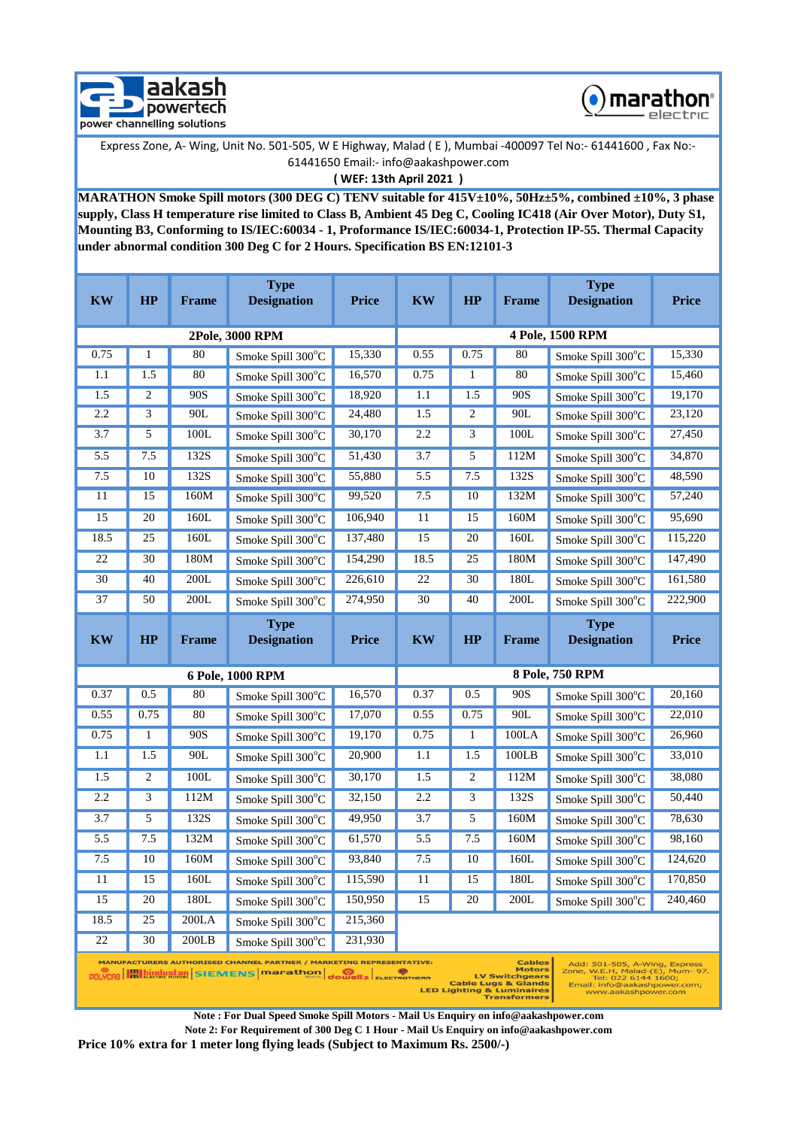



**( WEF: 13th April 2021 )**

**MARATHON Smoke Spill motors (300 DEG C) TENV suitable for 415V±10%, 50Hz±5%, combined ±10%, 3 phase supply, Class H temperature rise limited to Class B, Ambient 45 Deg C, Cooling IC418 (Air Over Motor), Duty S1, Mounting B3, Conforming to IS/IEC:60034 - 1, Proformance IS/IEC:60034-1, Protection IP-55. Thermal Capacity under abnormal condition 300 Deg C for 2 Hours. Specification BS EN:12101-3**

| <b>KW</b>        | HP                                                                                                                                                                                                                                                                                                                                                                                                                                                                                | <b>Frame</b> | <b>Type</b><br><b>Designation</b> | <b>Price</b> | <b>KW</b>        | HP             | <b>Frame</b>      | <b>Type</b><br><b>Designation</b> | <b>Price</b> |  |
|------------------|-----------------------------------------------------------------------------------------------------------------------------------------------------------------------------------------------------------------------------------------------------------------------------------------------------------------------------------------------------------------------------------------------------------------------------------------------------------------------------------|--------------|-----------------------------------|--------------|------------------|----------------|-------------------|-----------------------------------|--------------|--|
| 2Pole, 3000 RPM  |                                                                                                                                                                                                                                                                                                                                                                                                                                                                                   |              |                                   |              | 4 Pole, 1500 RPM |                |                   |                                   |              |  |
| 0.75             | 1                                                                                                                                                                                                                                                                                                                                                                                                                                                                                 | 80           | Smoke Spill 300°C                 | 15,330       | 0.55             | 0.75           | 80                | Smoke Spill 300°C                 | 15,330       |  |
| 1.1              | 1.5                                                                                                                                                                                                                                                                                                                                                                                                                                                                               | 80           | Smoke Spill 300°C                 | 16,570       | 0.75             | 1              | 80                | Smoke Spill 300°C                 | 15,460       |  |
| 1.5              | 2                                                                                                                                                                                                                                                                                                                                                                                                                                                                                 | 90S          | Smoke Spill 300°C                 | 18,920       | 1.1              | 1.5            | 90S               | Smoke Spill 300°C                 | 19,170       |  |
| 2.2              | 3                                                                                                                                                                                                                                                                                                                                                                                                                                                                                 | 90L          | Smoke Spill 300°C                 | 24,480       | 1.5              | $\overline{c}$ | 90L               | Smoke Spill 300°C                 | 23,120       |  |
| $\overline{3.7}$ | 5                                                                                                                                                                                                                                                                                                                                                                                                                                                                                 | 100L         | Smoke Spill 300°C                 | 30,170       | 2.2              | 3              | 100L              | Smoke Spill 300°C                 | 27,450       |  |
| 5.5              | 7.5                                                                                                                                                                                                                                                                                                                                                                                                                                                                               | 132S         | Smoke Spill 300°C                 | 51,430       | 3.7              | 5              | 112M              | Smoke Spill 300°C                 | 34,870       |  |
| 7.5              | 10                                                                                                                                                                                                                                                                                                                                                                                                                                                                                | 132S         | Smoke Spill 300°C                 | 55,880       | 5.5              | 7.5            | 132S              | Smoke Spill 300°C                 | 48,590       |  |
| 11               | 15                                                                                                                                                                                                                                                                                                                                                                                                                                                                                | 160M         | Smoke Spill 300°C                 | 99,520       | 7.5              | 10             | 132M              | Smoke Spill 300°C                 | 57,240       |  |
| 15               | 20                                                                                                                                                                                                                                                                                                                                                                                                                                                                                | 160L         | Smoke Spill 300°C                 | 106,940      | 11               | 15             | 160M              | Smoke Spill 300°C                 | 95,690       |  |
| 18.5             | 25                                                                                                                                                                                                                                                                                                                                                                                                                                                                                | 160L         | Smoke Spill 300°C                 | 137,480      | 15               | 20             | 160L              | Smoke Spill 300°C                 | 115,220      |  |
| 22               | 30                                                                                                                                                                                                                                                                                                                                                                                                                                                                                | 180M         | Smoke Spill 300°C                 | 154,290      | 18.5             | 25             | 180M              | Smoke Spill 300°C                 | 147,490      |  |
| 30               | 40                                                                                                                                                                                                                                                                                                                                                                                                                                                                                | 200L         | Smoke Spill 300°C                 | 226,610      | 22               | 30             | 180L              | Smoke Spill 300°C                 | 161,580      |  |
| 37               | 50                                                                                                                                                                                                                                                                                                                                                                                                                                                                                | 200L         | Smoke Spill 300°C                 | 274,950      | 30               | 40             | 200L              | Smoke Spill 300°C                 | 222,900      |  |
| <b>KW</b>        | HP                                                                                                                                                                                                                                                                                                                                                                                                                                                                                | <b>Frame</b> | <b>Type</b><br><b>Designation</b> | <b>Price</b> | <b>KW</b>        | HP             | Frame             | <b>Type</b><br><b>Designation</b> | <b>Price</b> |  |
|                  |                                                                                                                                                                                                                                                                                                                                                                                                                                                                                   |              | 6 Pole, 1000 RPM                  |              |                  |                |                   | 8 Pole, 750 RPM                   |              |  |
| 0.37             | 0.5                                                                                                                                                                                                                                                                                                                                                                                                                                                                               | 80           | Smoke Spill 300°C                 | 16,570       | 0.37             | 0.5            | 90S               | Smoke Spill 300°C                 | 20,160       |  |
| 0.55             | 0.75                                                                                                                                                                                                                                                                                                                                                                                                                                                                              | 80           | Smoke Spill 300°C                 | 17,070       | 0.55             | 0.75           | 90L               | Smoke Spill 300°C                 | 22,010       |  |
| 0.75             | $\mathbf{1}$                                                                                                                                                                                                                                                                                                                                                                                                                                                                      | 90S          | Smoke Spill 300°C                 | 19,170       | 0.75             | $\mathbf{1}$   | 100LA             | Smoke Spill 300°C                 | 26,960       |  |
| 1.1              | 1.5                                                                                                                                                                                                                                                                                                                                                                                                                                                                               | 90L          | Smoke Spill 300°C                 | 20,900       | 1.1              | 1.5            | 100LB             | Smoke Spill 300°C                 | 33,010       |  |
| 1.5              | 2                                                                                                                                                                                                                                                                                                                                                                                                                                                                                 | 100L         | Smoke Spill 300°C                 | 30,170       | 1.5              | 2              | 112M              | Smoke Spill 300°C                 | 38,080       |  |
| 2.2              | 3                                                                                                                                                                                                                                                                                                                                                                                                                                                                                 | 112M         | Smoke Spill 300°C                 | 32,150       | 2.2              | 3              | 132S              | Smoke Spill 300°C                 | 50,440       |  |
| $\overline{3.7}$ | 5                                                                                                                                                                                                                                                                                                                                                                                                                                                                                 | 132S         | Smoke Spill 300°C                 | 49,950       | 3.7              | 5              | 160M              | Smoke Spill 300°C                 | 78,630       |  |
| 5.5              | 7.5                                                                                                                                                                                                                                                                                                                                                                                                                                                                               | 132M         | Smoke Spill 300°C                 | 61,570       | 5.5              | 7.5            | 160M              | Smoke Spill 300°C                 | 98,160       |  |
| 7.5              | 10                                                                                                                                                                                                                                                                                                                                                                                                                                                                                | 160M         | Smoke Spill 300°C                 | 93,840       | 7.5              | 10             | 160L              | Smoke Spill 300°C                 | 124,620      |  |
| 11               | 15                                                                                                                                                                                                                                                                                                                                                                                                                                                                                | 160L         | Smoke Spill 300°C                 | 115,590      | 11<br>15<br>180L |                | Smoke Spill 300°C | 170,850                           |              |  |
| 15               | 20                                                                                                                                                                                                                                                                                                                                                                                                                                                                                | 180L         | Smoke Spill 300°C                 | 150,950      | 15               | 20             | 200L              | Smoke Spill 300°C                 | 240,460      |  |
| 18.5             | 25                                                                                                                                                                                                                                                                                                                                                                                                                                                                                | 200LA        | Smoke Spill 300°C                 | 215,360      |                  |                |                   |                                   |              |  |
| 22               | 30                                                                                                                                                                                                                                                                                                                                                                                                                                                                                | 200LB        | Smoke Spill 300°C                 | 231,930      |                  |                |                   |                                   |              |  |
|                  | <b>MANUFACTURERS AUTHORISED CHANNEL PARTNER / MARKETING REPRESENTATIVE:</b><br><b>Cables</b><br>Add: 501-505, A-Wing, Express<br><b>Motors</b><br>Zone, W.E.H, Malad-(E), Mum- 97.<br>POLYCAB <b>HILL And Discharge SIEMENS</b> marathon<br><b>OO WELL'S ELECTROTHERM</b><br><b>LV Switchgears</b><br>Tel: 022 6144 1600;<br><b>Cable Lugs &amp; Glands</b><br>Email: info@aakashpower.com;<br><b>LED Lighting &amp; Luminaires</b><br>www.aakashpower.com<br><b>Transformers</b> |              |                                   |              |                  |                |                   |                                   |              |  |

**Note : For Dual Speed Smoke Spill Motors - Mail Us Enquiry on info@aakashpower.com**

**Note 2: For Requirement of 300 Deg C 1 Hour - Mail Us Enquiry on info@aakashpower.com**

**Price 10% extra for 1 meter long flying leads (Subject to Maximum Rs. 2500/-)**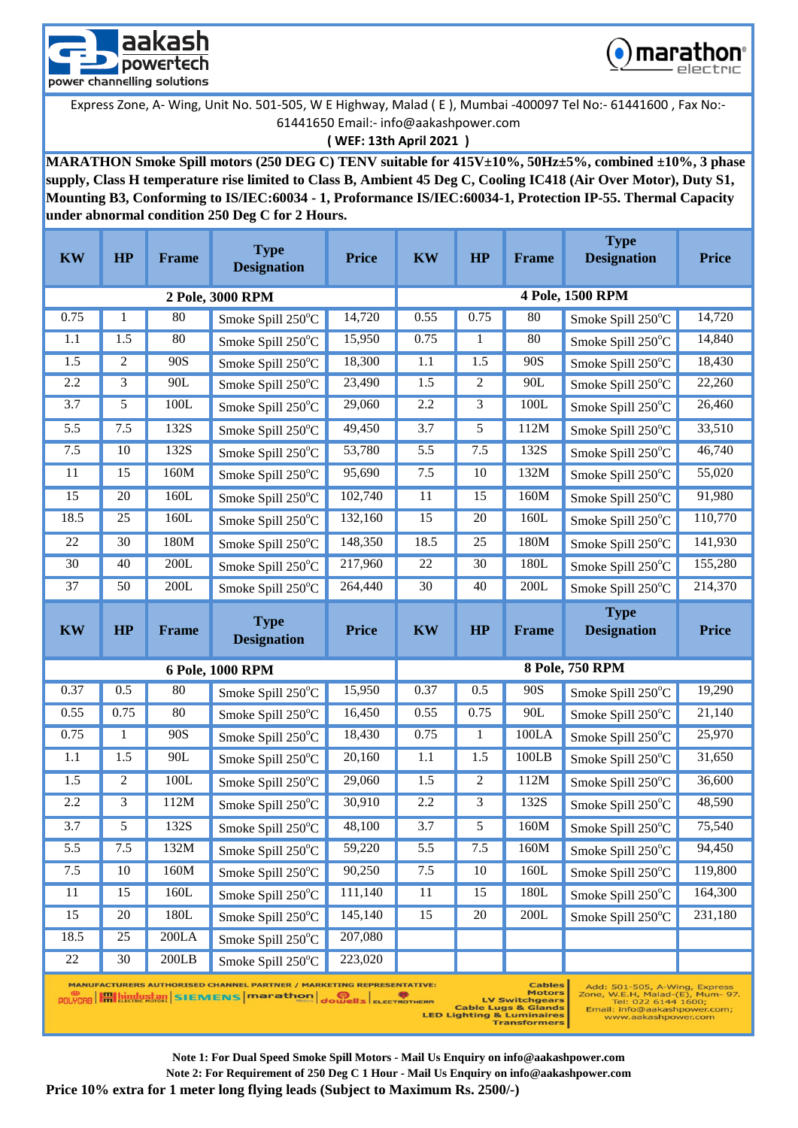



### **( WEF: 13th April 2021 )**

**MARATHON Smoke Spill motors (250 DEG C) TENV suitable for 415V±10%, 50Hz±5%, combined ±10%, 3 phase supply, Class H temperature rise limited to Class B, Ambient 45 Deg C, Cooling IC418 (Air Over Motor), Duty S1, Mounting B3, Conforming to IS/IEC:60034 - 1, Proformance IS/IEC:60034-1, Protection IP-55. Thermal Capacity under abnormal condition 250 Deg C for 2 Hours.**

| <b>KW</b>        | HP           | Frame | <b>Type</b><br><b>Designation</b> | <b>Price</b> | <b>KW</b>        | HP               | <b>Frame</b> | <b>Type</b><br><b>Designation</b> | <b>Price</b> |  |  |  |
|------------------|--------------|-------|-----------------------------------|--------------|------------------|------------------|--------------|-----------------------------------|--------------|--|--|--|
| 2 Pole, 3000 RPM |              |       |                                   |              |                  | 4 Pole, 1500 RPM |              |                                   |              |  |  |  |
| 0.75             | 1            | 80    | Smoke Spill 250°C                 | 14,720       | 0.55             | 0.75             | 80           | Smoke Spill 250°C                 | 14,720       |  |  |  |
| 1.1              | 1.5          | 80    | Smoke Spill 250°C                 | 15,950       | 0.75             | 1                | 80           | Smoke Spill 250°C                 | 14,840       |  |  |  |
| 1.5              | 2            | 90S   | Smoke Spill 250°C                 | 18,300       | 1.1              | 1.5              | 90S          | Smoke Spill 250°C                 | 18,430       |  |  |  |
| 2.2              | 3            | 90L   | Smoke Spill 250°C                 | 23,490       | 1.5              | 2                | 90L          | Smoke Spill 250°C                 | 22,260       |  |  |  |
| 3.7              | 5            | 100L  | Smoke Spill 250°C                 | 29,060       | 2.2              | 3                | 100L         | Smoke Spill 250°C                 | 26,460       |  |  |  |
| 5.5              | 7.5          | 132S  | Smoke Spill 250°C                 | 49,450       | 3.7              | 5                | 112M         | Smoke Spill 250°C                 | 33,510       |  |  |  |
| $7.5$            | 10           | 132S  | Smoke Spill 250°C                 | 53,780       | 5.5              | 7.5              | 132S         | Smoke Spill 250°C                 | 46,740       |  |  |  |
| 11               | 15           | 160M  | Smoke Spill 250°C                 | 95,690       | 7.5              | 10               | 132M         | Smoke Spill 250°C                 | 55,020       |  |  |  |
| 15               | 20           | 160L  | Smoke Spill 250°C                 | 102,740      | 11               | 15               | 160M         | Smoke Spill 250°C                 | 91,980       |  |  |  |
| 18.5             | 25           | 160L  | Smoke Spill 250°C                 | 132,160      | 15               | 20               | 160L         | Smoke Spill 250°C                 | 110,770      |  |  |  |
| 22               | 30           | 180M  | Smoke Spill 250°C                 | 148,350      | 18.5             | 25               | 180M         | Smoke Spill 250°C                 | 141,930      |  |  |  |
| $\overline{30}$  | 40           | 200L  | Smoke Spill 250°C                 | 217,960      | 22               | 30               | 180L         | Smoke Spill 250°C                 | 155,280      |  |  |  |
| 37               | 50           | 200L  | Smoke Spill 250°C                 | 264,440      | 30               | 40               | 200L         | Smoke Spill 250°C                 | 214,370      |  |  |  |
| <b>KW</b>        | HP           | Frame | <b>Type</b><br><b>Designation</b> | <b>Price</b> | <b>KW</b>        | HP               | <b>Frame</b> | <b>Type</b><br><b>Designation</b> | <b>Price</b> |  |  |  |
|                  |              |       | 6 Pole, 1000 RPM                  |              |                  |                  |              | 8 Pole, 750 RPM                   |              |  |  |  |
| 0.37             | 0.5          | 80    | Smoke Spill 250°C                 | 15,950       | 0.37             | 0.5              | 90S          | Smoke Spill 250°C                 | 19,290       |  |  |  |
| 0.55             | 0.75         | 80    | Smoke Spill 250°C                 | 16,450       | 0.55             | 0.75             | 90L          | Smoke Spill 250°C                 | 21,140       |  |  |  |
| 0.75             | $\mathbf{1}$ | 90S   | Smoke Spill 250°C                 | 18,430       | 0.75             | $\mathbf{1}$     | 100LA        | Smoke Spill 250°C                 | 25,970       |  |  |  |
| 1.1              | 1.5          | 90L   | Smoke Spill 250°C                 | 20,160       | 1.1              | 1.5              | 100LB        | Smoke Spill 250°C                 | 31,650       |  |  |  |
| 1.5              | 2            | 100L  | Smoke Spill 250°C                 | 29,060       | 1.5              | 2                | 112M         | Smoke Spill 250°C                 | 36,600       |  |  |  |
| 2.2              | 3            | 112M  | Smoke Spill 250°C                 | 30,910       | 2.2              | 3                | 132S         | Smoke Spill 250°C                 | 48,590       |  |  |  |
| 3.7              | 5            | 132S  | Smoke Spill 250°C                 | 48,100       | 3.7              | 5                | 160M         | Smoke Spill 250°C                 | 75,540       |  |  |  |
| 5.5              | 7.5          | 132M  | Smoke Spill 250°C                 | 59,220       | $\overline{5.5}$ | 7.5              | 160M         | Smoke Spill 250°C                 | 94,450       |  |  |  |
| $7.5$            | 10           | 160M  | Smoke Spill 250°C                 | 90,250       | 7.5              | 10               | 160L         | Smoke Spill 250°C                 | 119,800      |  |  |  |
| 11               |              |       |                                   |              |                  |                  |              |                                   |              |  |  |  |
|                  | 15           | 160L  | Smoke Spill 250°C                 | 111,140      | 11               | 15               | 180L         | Smoke Spill 250°C                 | 164,300      |  |  |  |
| 15               | 20           | 180L  | Smoke Spill 250°C                 | 145,140      | 15               | 20               | 200L         | Smoke Spill 250°C                 | 231,180      |  |  |  |
| 18.5             | 25           | 200LA | Smoke Spill 250°C                 | 207,080      |                  |                  |              |                                   |              |  |  |  |
| $\overline{22}$  | 30           | 200LB | Smoke Spill 250°C                 | 223,020      |                  |                  |              |                                   |              |  |  |  |

LED Lighting & Luminaires<br>LED Lighting & Luminaires<br>Transformers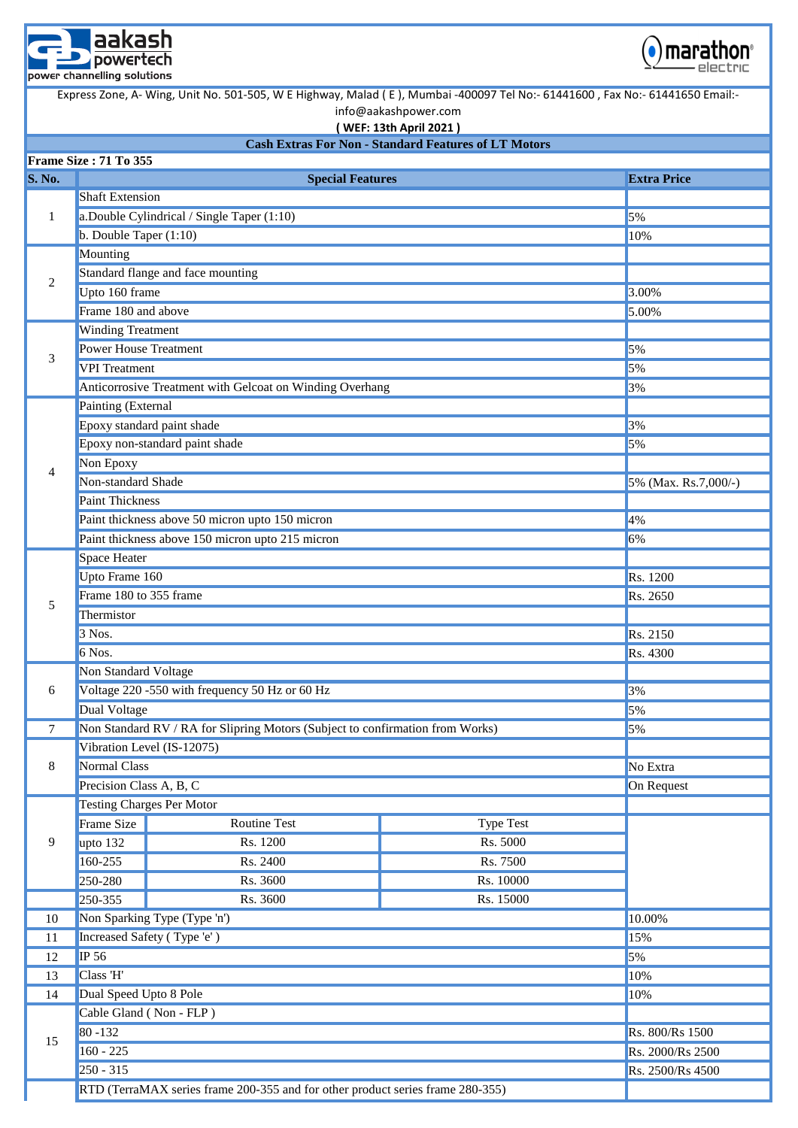



**( WEF: 13th April 2021 )**

#### **Cash Extras For Non - Standard Features of LT Motors**

|                | Frame Size: 71 To 355                                                               |                                                                                |                  |                      |  |  |  |  |
|----------------|-------------------------------------------------------------------------------------|--------------------------------------------------------------------------------|------------------|----------------------|--|--|--|--|
| <b>S. No.</b>  |                                                                                     | <b>Special Features</b>                                                        |                  | <b>Extra Price</b>   |  |  |  |  |
|                | <b>Shaft Extension</b>                                                              |                                                                                |                  |                      |  |  |  |  |
| 1              |                                                                                     | a.Double Cylindrical / Single Taper (1:10)                                     | 5%               |                      |  |  |  |  |
|                | b. Double Taper $(1:10)$                                                            |                                                                                |                  | 10%                  |  |  |  |  |
|                | Mounting                                                                            |                                                                                |                  |                      |  |  |  |  |
| 2              |                                                                                     | Standard flange and face mounting                                              |                  |                      |  |  |  |  |
|                | Upto 160 frame                                                                      |                                                                                |                  | 3.00%                |  |  |  |  |
|                | Frame 180 and above                                                                 |                                                                                |                  | 5.00%                |  |  |  |  |
|                | <b>Winding Treatment</b>                                                            |                                                                                |                  |                      |  |  |  |  |
|                | <b>Power House Treatment</b>                                                        |                                                                                |                  | 5%                   |  |  |  |  |
| 3              | <b>VPI</b> Treatment                                                                |                                                                                |                  | 5%                   |  |  |  |  |
|                |                                                                                     | Anticorrosive Treatment with Gelcoat on Winding Overhang                       |                  | 3%                   |  |  |  |  |
|                | Painting (External                                                                  |                                                                                |                  |                      |  |  |  |  |
|                |                                                                                     | Epoxy standard paint shade                                                     | 3%               |                      |  |  |  |  |
|                |                                                                                     | Epoxy non-standard paint shade                                                 |                  | 5%                   |  |  |  |  |
| $\overline{4}$ | Non Epoxy                                                                           |                                                                                |                  |                      |  |  |  |  |
|                | Non-standard Shade                                                                  |                                                                                |                  | 5% (Max. Rs.7,000/-) |  |  |  |  |
|                | <b>Paint Thickness</b>                                                              |                                                                                |                  |                      |  |  |  |  |
|                |                                                                                     | Paint thickness above 50 micron upto 150 micron                                |                  | 4%                   |  |  |  |  |
|                |                                                                                     | Paint thickness above 150 micron upto 215 micron                               |                  | 6%                   |  |  |  |  |
|                | Space Heater                                                                        |                                                                                |                  |                      |  |  |  |  |
|                | Upto Frame 160                                                                      |                                                                                |                  | Rs. 1200             |  |  |  |  |
| 5              | Frame 180 to 355 frame                                                              |                                                                                | Rs. 2650         |                      |  |  |  |  |
|                | Thermistor                                                                          |                                                                                |                  |                      |  |  |  |  |
|                | 3 Nos.                                                                              |                                                                                | Rs. 2150         |                      |  |  |  |  |
|                | 6 Nos.                                                                              |                                                                                |                  | Rs. 4300             |  |  |  |  |
|                | Non Standard Voltage                                                                |                                                                                |                  |                      |  |  |  |  |
| 6              |                                                                                     | Voltage 220 -550 with frequency 50 Hz or 60 Hz                                 | 3%               |                      |  |  |  |  |
|                | <b>Dual Voltage</b>                                                                 |                                                                                |                  | 5%                   |  |  |  |  |
| 7              | Non Standard RV / RA for Slipring Motors (Subject to confirmation from Works)<br>5% |                                                                                |                  |                      |  |  |  |  |
|                |                                                                                     | Vibration Level (IS-12075)                                                     |                  |                      |  |  |  |  |
| $\,8\,$        | <b>Normal Class</b>                                                                 |                                                                                | No Extra         |                      |  |  |  |  |
|                | Precision Class A, B, C                                                             |                                                                                |                  | On Request           |  |  |  |  |
|                |                                                                                     | <b>Testing Charges Per Motor</b>                                               |                  |                      |  |  |  |  |
|                | Frame Size                                                                          | Routine Test                                                                   | <b>Type Test</b> |                      |  |  |  |  |
| 9              | upto 132                                                                            | Rs. 1200                                                                       | Rs. 5000         |                      |  |  |  |  |
|                | 160-255                                                                             | Rs. 2400                                                                       | Rs. 7500         |                      |  |  |  |  |
|                | 250-280                                                                             | Rs. 3600                                                                       | Rs. 10000        |                      |  |  |  |  |
|                | 250-355                                                                             | Rs. 3600                                                                       | Rs. 15000        |                      |  |  |  |  |
| 10             |                                                                                     | Non Sparking Type (Type 'n')                                                   |                  | 10.00%               |  |  |  |  |
| 11             |                                                                                     | Increased Safety (Type 'e')                                                    |                  | 15%                  |  |  |  |  |
| 12             | <b>IP 56</b>                                                                        |                                                                                |                  | 5%                   |  |  |  |  |
| 13             | Class 'H'                                                                           |                                                                                |                  | 10%                  |  |  |  |  |
| 14             | Dual Speed Upto 8 Pole                                                              |                                                                                |                  | 10%                  |  |  |  |  |
|                |                                                                                     | Cable Gland (Non - FLP)                                                        |                  |                      |  |  |  |  |
| 15             | $80 - 132$                                                                          |                                                                                |                  | Rs. 800/Rs 1500      |  |  |  |  |
|                | $160 - 225$                                                                         |                                                                                |                  | Rs. 2000/Rs 2500     |  |  |  |  |
|                | $250 - 315$                                                                         |                                                                                |                  | Rs. 2500/Rs 4500     |  |  |  |  |
|                |                                                                                     | RTD (TerraMAX series frame 200-355 and for other product series frame 280-355) |                  |                      |  |  |  |  |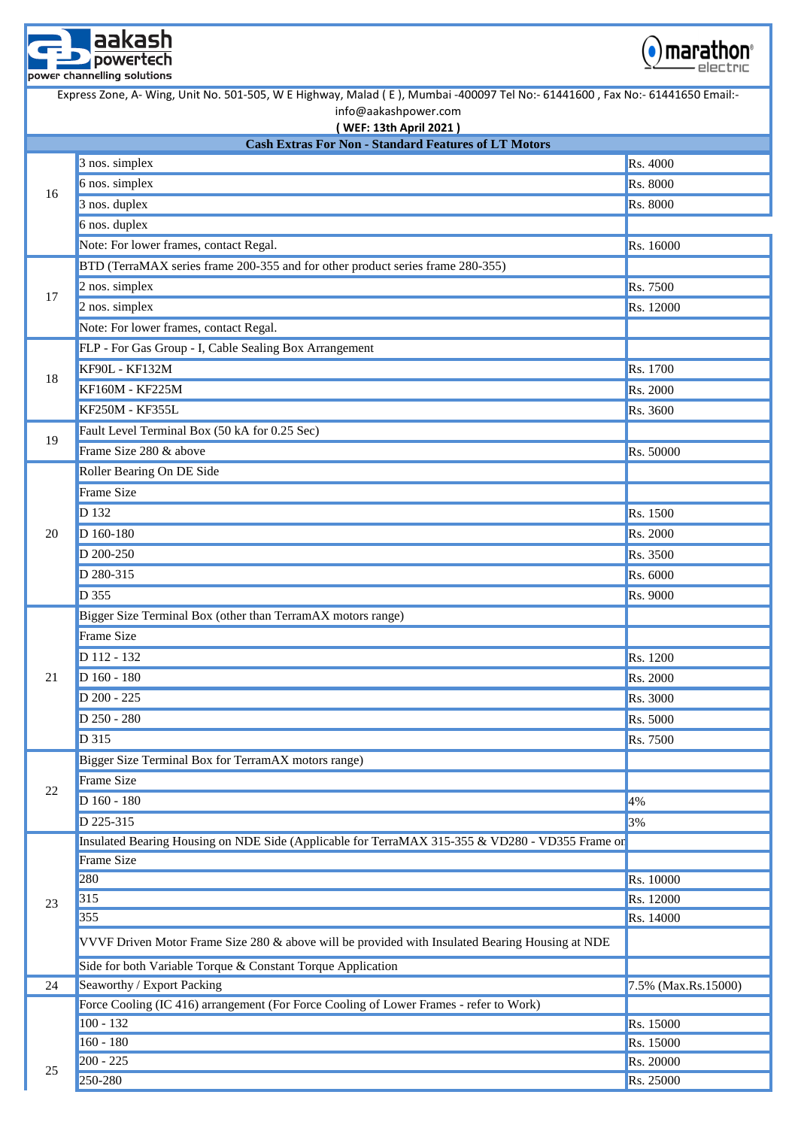



|    | Express Zone, A- Wing, Unit No. 501-505, W E Highway, Malad (E), Mumbai -400097 Tel No:- 61441600, Fax No:- 61441650 Email:-<br>info@aakashpower.com |                     |  |  |  |  |  |  |
|----|------------------------------------------------------------------------------------------------------------------------------------------------------|---------------------|--|--|--|--|--|--|
|    | (WEF: 13th April 2021)                                                                                                                               |                     |  |  |  |  |  |  |
|    | <b>Cash Extras For Non - Standard Features of LT Motors</b>                                                                                          |                     |  |  |  |  |  |  |
|    | 3 nos. simplex                                                                                                                                       | Rs. 4000            |  |  |  |  |  |  |
| 16 | 6 nos. simplex                                                                                                                                       | Rs. 8000            |  |  |  |  |  |  |
|    | 3 nos. duplex                                                                                                                                        | Rs. 8000            |  |  |  |  |  |  |
|    | 6 nos. duplex                                                                                                                                        |                     |  |  |  |  |  |  |
|    | Note: For lower frames, contact Regal.                                                                                                               | Rs. 16000           |  |  |  |  |  |  |
|    | BTD (TerraMAX series frame 200-355 and for other product series frame 280-355)                                                                       |                     |  |  |  |  |  |  |
| 17 | 2 nos. simplex                                                                                                                                       | Rs. 7500            |  |  |  |  |  |  |
|    | 2 nos. simplex                                                                                                                                       | Rs. 12000           |  |  |  |  |  |  |
|    | Note: For lower frames, contact Regal.                                                                                                               |                     |  |  |  |  |  |  |
|    | FLP - For Gas Group - I, Cable Sealing Box Arrangement                                                                                               |                     |  |  |  |  |  |  |
| 18 | <b>KF90L - KF132M</b>                                                                                                                                | Rs. 1700            |  |  |  |  |  |  |
|    | KF160M - KF225M                                                                                                                                      | Rs. 2000            |  |  |  |  |  |  |
|    | KF250M - KF355L                                                                                                                                      | Rs. 3600            |  |  |  |  |  |  |
| 19 | Fault Level Terminal Box (50 kA for 0.25 Sec)                                                                                                        |                     |  |  |  |  |  |  |
|    | Frame Size 280 & above                                                                                                                               | Rs. 50000           |  |  |  |  |  |  |
|    | Roller Bearing On DE Side                                                                                                                            |                     |  |  |  |  |  |  |
|    | Frame Size                                                                                                                                           |                     |  |  |  |  |  |  |
|    | D 132                                                                                                                                                | Rs. 1500            |  |  |  |  |  |  |
| 20 | D 160-180                                                                                                                                            | Rs. 2000            |  |  |  |  |  |  |
|    | D 200-250                                                                                                                                            | Rs. 3500            |  |  |  |  |  |  |
|    | D 280-315                                                                                                                                            | Rs. 6000            |  |  |  |  |  |  |
|    | D 355                                                                                                                                                | Rs. 9000            |  |  |  |  |  |  |
|    | Bigger Size Terminal Box (other than TerramAX motors range)                                                                                          |                     |  |  |  |  |  |  |
|    | Frame Size                                                                                                                                           |                     |  |  |  |  |  |  |
|    | D 112 - 132                                                                                                                                          | Rs. 1200            |  |  |  |  |  |  |
| 21 | D 160 - 180                                                                                                                                          | Rs. 2000            |  |  |  |  |  |  |
|    | D 200 - 225                                                                                                                                          | Rs. 3000            |  |  |  |  |  |  |
|    | D 250 - 280                                                                                                                                          | Rs. 5000            |  |  |  |  |  |  |
|    | D 315                                                                                                                                                | Rs. 7500            |  |  |  |  |  |  |
|    | Bigger Size Terminal Box for TerramAX motors range)                                                                                                  |                     |  |  |  |  |  |  |
|    | Frame Size                                                                                                                                           |                     |  |  |  |  |  |  |
| 22 | D 160 - 180                                                                                                                                          |                     |  |  |  |  |  |  |
|    | D 225-315                                                                                                                                            | 4%                  |  |  |  |  |  |  |
|    | Insulated Bearing Housing on NDE Side (Applicable for TerraMAX 315-355 & VD280 - VD355 Frame or                                                      | 3%                  |  |  |  |  |  |  |
|    | Frame Size                                                                                                                                           |                     |  |  |  |  |  |  |
|    | 280                                                                                                                                                  | Rs. 10000           |  |  |  |  |  |  |
|    | 315                                                                                                                                                  | Rs. 12000           |  |  |  |  |  |  |
| 23 | 355                                                                                                                                                  | Rs. 14000           |  |  |  |  |  |  |
|    |                                                                                                                                                      |                     |  |  |  |  |  |  |
|    | VVVF Driven Motor Frame Size 280 & above will be provided with Insulated Bearing Housing at NDE                                                      |                     |  |  |  |  |  |  |
|    | Side for both Variable Torque & Constant Torque Application                                                                                          |                     |  |  |  |  |  |  |
| 24 | Seaworthy / Export Packing                                                                                                                           | 7.5% (Max.Rs.15000) |  |  |  |  |  |  |
|    | Force Cooling (IC 416) arrangement (For Force Cooling of Lower Frames - refer to Work)                                                               |                     |  |  |  |  |  |  |
|    | $100 - 132$                                                                                                                                          | Rs. 15000           |  |  |  |  |  |  |
|    | $160 - 180$                                                                                                                                          | Rs. 15000           |  |  |  |  |  |  |
| 25 | $200 - 225$                                                                                                                                          | Rs. 20000           |  |  |  |  |  |  |
|    | 250-280                                                                                                                                              | Rs. 25000           |  |  |  |  |  |  |